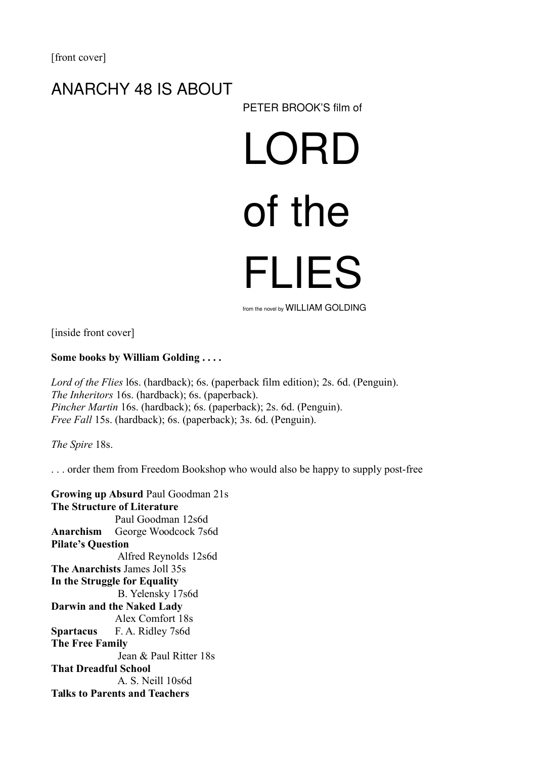### ANARCHY 48 IS ABOUT

PETER BROOK'S film of

# LORD of the FLIES

from the novel by WILLIAM GOLDING

[inside front cover]

#### **Some books by William Golding . . . .**

*Lord of the Flies* l6s. (hardback); 6s. (paperback film edition); 2s. 6d. (Penguin). *The Inheritors* 16s. (hardback); 6s. (paperback). *Pincher Martin* 16s. (hardback); 6s. (paperback); 2s. 6d. (Penguin). *Free Fall 15s.* (hardback); 6s. (paperback); 3s. 6d. (Penguin).

*The Spire* 18s.

. . . order them from Freedom Bookshop who would also be happy to supply post-free

**Growing up Absurd** Paul Goodman 21s **The Structure of Literature**  Paul Goodman 12s6d **Anarchism** George Woodcock 7s6d **Pilate's Question** Alfred Reynolds 12s6d **The Anarchists** James Joll 35s **In the Struggle for Equality** B. Yelensky 17s6d **Darwin and the Naked Lady** Alex Comfort 18s **Spartacus** F. A. Ridley 7s6d **The Free Family** Jean & Paul Ritter 18s **That Dreadful School** A. S. Neill 10s6d **Talks to Parents and Teachers**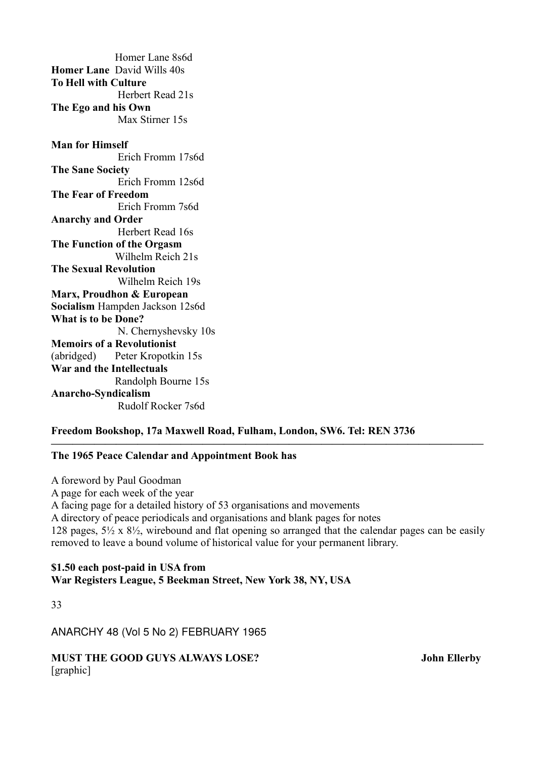Homer Lane 8s6d **Homer Lane** David Wills 40s **To Hell with Culture** Herbert Read 21s **The Ego and his Own** Max Stirner 15s **Man for Himself** Erich Fromm 17s6d **The Sane Society** Erich Fromm 12s6d **The Fear of Freedom**  Erich Fromm 7s6d **Anarchy and Order** Herbert Read 16s **The Function of the Orgasm** Wilhelm Reich 21s **The Sexual Revolution** Wilhelm Reich 19s **Marx, Proudhon & European Socialism** Hampden Jackson 12s6d **What is to be Done?** N. Chernyshevsky 10s **Memoirs of a Revolutionist** (abridged) Peter Kropotkin 15s **War and the Intellectuals** Randolph Bourne 15s **Anarcho-Syndicalism** Rudolf Rocker 7s6d

#### **Freedom Bookshop, 17a Maxwell Road, Fulham, London, SW6. Tel: REN 3736**

#### **The 1965 Peace Calendar and Appointment Book has**

A foreword by Paul Goodman A page for each week of the year A facing page for a detailed history of 53 organisations and movements A directory of peace periodicals and organisations and blank pages for notes 128 pages,  $5\frac{1}{2}$  x  $8\frac{1}{2}$ , wirebound and flat opening so arranged that the calendar pages can be easily removed to leave a bound volume of historical value for your permanent library.

**————————————————————————————————————————**

#### **\$1.50 each post-paid in USA from War Registers League, 5 Beekman Street, New York 38, NY, USA**

33

ANARCHY 48 (Vol 5 No 2) FEBRUARY 1965

**MUST THE GOOD GUYS ALWAYS LOSE?** John Ellerby [graphic]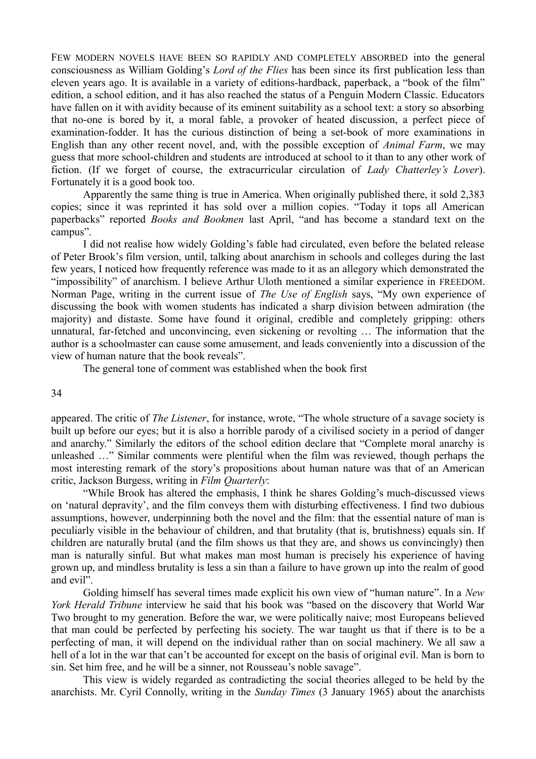FEW MODERN NOVELS HAVE BEEN SO RAPIDLY AND COMPLETELY ABSORBED into the general consciousness as William Golding's *Lord of the Flies* has been since its first publication less than eleven years ago. It is available in a variety of editions-hardback, paperback, a "book of the film" edition, a school edition, and it has also reached the status of a Penguin Modern Classic. Educators have fallen on it with avidity because of its eminent suitability as a school text: a story so absorbing that no-one is bored by it, a moral fable, a provoker of heated discussion, a perfect piece of examination-fodder. It has the curious distinction of being a set-book of more examinations in English than any other recent novel, and, with the possible exception of *Animal Farm*, we may guess that more school-children and students are introduced at school to it than to any other work of fiction. (If we forget of course, the extracurricular circulation of *Lady Chatterley's Lover*). Fortunately it is a good book too.

Apparently the same thing is true in America. When originally published there, it sold 2,383 copies; since it was reprinted it has sold over a million copies. "Today it tops all American paperbacks" reported *Books and Bookmen* last April, "and has become a standard text on the campus".

I did not realise how widely Golding's fable had circulated, even before the belated release of Peter Brook's film version, until, talking about anarchism in schools and colleges during the last few years, I noticed how frequently reference was made to it as an allegory which demonstrated the "impossibility" of anarchism. I believe Arthur Uloth mentioned a similar experience in FREEDOM. Norman Page, writing in the current issue of *The Use of English* says, "My own experience of discussing the book with women students has indicated a sharp division between admiration (the majority) and distaste. Some have found it original, credible and completely gripping: others unnatural, far-fetched and unconvincing, even sickening or revolting … The information that the author is a schoolmaster can cause some amusement, and leads conveniently into a discussion of the view of human nature that the book reveals".

The general tone of comment was established when the book first

#### 34

appeared. The critic of *The Listener*, for instance, wrote, "The whole structure of a savage society is built up before our eyes; but it is also a horrible parody of a civilised society in a period of danger and anarchy." Similarly the editors of the school edition declare that "Complete moral anarchy is unleashed …" Similar comments were plentiful when the film was reviewed, though perhaps the most interesting remark of the story's propositions about human nature was that of an American critic, Jackson Burgess, writing in *Film Quarterly*:

"While Brook has altered the emphasis, I think he shares Golding's much-discussed views on 'natural depravity', and the film conveys them with disturbing effectiveness. I find two dubious assumptions, however, underpinning both the novel and the film: that the essential nature of man is peculiarly visible in the behaviour of children, and that brutality (that is, brutishness) equals sin. If children are naturally brutal (and the film shows us that they are, and shows us convincingly) then man is naturally sinful. But what makes man most human is precisely his experience of having grown up, and mindless brutality is less a sin than a failure to have grown up into the realm of good and evil".

Golding himself has several times made explicit his own view of "human nature". In a *New York Herald Tribune* interview he said that his book was "based on the discovery that World War Two brought to my generation. Before the war, we were politically naive; most Europeans believed that man could be perfected by perfecting his society. The war taught us that if there is to be a perfecting of man, it will depend on the individual rather than on social machinery. We all saw a hell of a lot in the war that can't be accounted for except on the basis of original evil. Man is born to sin. Set him free, and he will be a sinner, not Rousseau's noble savage".

This view is widely regarded as contradicting the social theories alleged to be held by the anarchists. Mr. Cyril Connolly, writing in the *Sunday Times* (3 January 1965) about the anarchists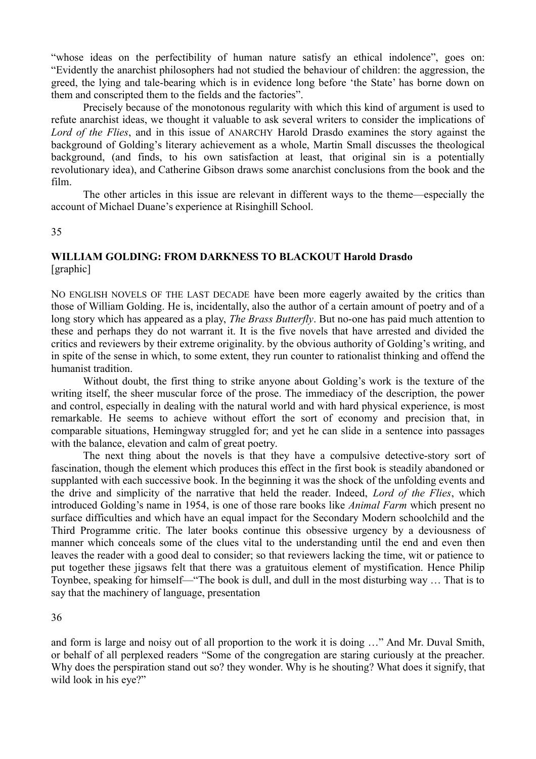"whose ideas on the perfectibility of human nature satisfy an ethical indolence", goes on: "Evidently the anarchist philosophers had not studied the behaviour of children: the aggression, the greed, the lying and tale-bearing which is in evidence long before 'the State' has borne down on them and conscripted them to the fields and the factories".

Precisely because of the monotonous regularity with which this kind of argument is used to refute anarchist ideas, we thought it valuable to ask several writers to consider the implications of *Lord of the Flies*, and in this issue of ANARCHY Harold Drasdo examines the story against the background of Golding's literary achievement as a whole, Martin Small discusses the theological background, (and finds, to his own satisfaction at least, that original sin is a potentially revolutionary idea), and Catherine Gibson draws some anarchist conclusions from the book and the film.

The other articles in this issue are relevant in different ways to the theme—especially the account of Michael Duane's experience at Risinghill School.

35

#### **WILLIAM GOLDING: FROM DARKNESS TO BLACKOUT Harold Drasdo**  [graphic]

NO ENGLISH NOVELS OF THE LAST DECADE have been more eagerly awaited by the critics than those of William Golding. He is, incidentally, also the author of a certain amount of poetry and of a long story which has appeared as a play, *The Brass Butterfly*. But no-one has paid much attention to these and perhaps they do not warrant it. It is the five novels that have arrested and divided the critics and reviewers by their extreme originality. by the obvious authority of Golding's writing, and in spite of the sense in which, to some extent, they run counter to rationalist thinking and offend the humanist tradition.

Without doubt, the first thing to strike anyone about Golding's work is the texture of the writing itself, the sheer muscular force of the prose. The immediacy of the description, the power and control, especially in dealing with the natural world and with hard physical experience, is most remarkable. He seems to achieve without effort the sort of economy and precision that, in comparable situations, Hemingway struggled for; and yet he can slide in a sentence into passages with the balance, elevation and calm of great poetry.

The next thing about the novels is that they have a compulsive detective-story sort of fascination, though the element which produces this effect in the first book is steadily abandoned or supplanted with each successive book. In the beginning it was the shock of the unfolding events and the drive and simplicity of the narrative that held the reader. Indeed, *Lord of the Flies*, which introduced Golding's name in 1954, is one of those rare books like *Animal Farm* which present no surface difficulties and which have an equal impact for the Secondary Modern schoolchild and the Third Programme critic. The later books continue this obsessive urgency by a deviousness of manner which conceals some of the clues vital to the understanding until the end and even then leaves the reader with a good deal to consider; so that reviewers lacking the time, wit or patience to put together these jigsaws felt that there was a gratuitous element of mystification. Hence Philip Toynbee, speaking for himself—"The book is dull, and dull in the most disturbing way … That is to say that the machinery of language, presentation

36

and form is large and noisy out of all proportion to the work it is doing …" And Mr. Duval Smith, or behalf of all perplexed readers "Some of the congregation are staring curiously at the preacher. Why does the perspiration stand out so? they wonder. Why is he shouting? What does it signify, that wild look in his eye?"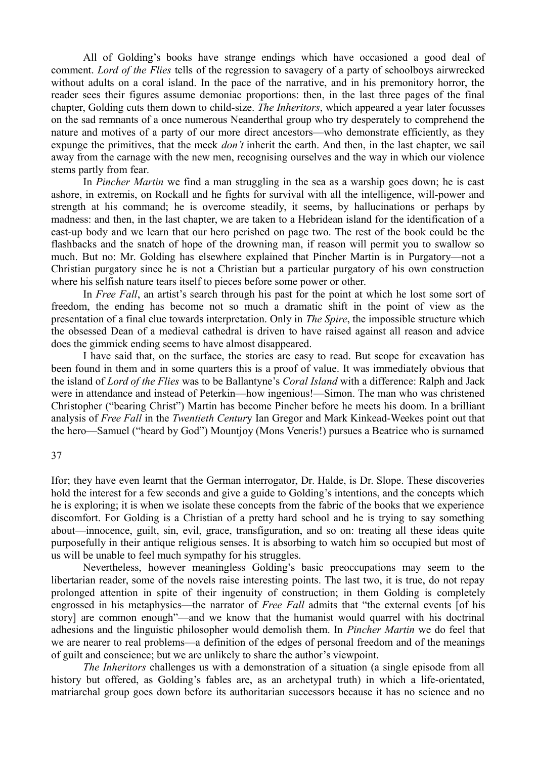All of Golding's books have strange endings which have occasioned a good deal of comment. *Lord of the Flies* tells of the regression to savagery of a party of schoolboys airwrecked without adults on a coral island. In the pace of the narrative, and in his premonitory horror, the reader sees their figures assume demoniac proportions: then, in the last three pages of the final chapter, Golding cuts them down to child-size. *The Inheritors*, which appeared a year later focusses on the sad remnants of a once numerous Neanderthal group who try desperately to comprehend the nature and motives of a party of our more direct ancestors—who demonstrate efficiently, as they expunge the primitives, that the meek *don't* inherit the earth. And then, in the last chapter, we sail away from the carnage with the new men, recognising ourselves and the way in which our violence stems partly from fear.

In *Pincher Martin* we find a man struggling in the sea as a warship goes down; he is cast ashore, in extremis, on Rockall and he fights for survival with all the intelligence, will-power and strength at his command; he is overcome steadily, it seems, by hallucinations or perhaps by madness: and then, in the last chapter, we are taken to a Hebridean island for the identification of a cast-up body and we learn that our hero perished on page two. The rest of the book could be the flashbacks and the snatch of hope of the drowning man, if reason will permit you to swallow so much. But no: Mr. Golding has elsewhere explained that Pincher Martin is in Purgatory—not a Christian purgatory since he is not a Christian but a particular purgatory of his own construction where his selfish nature tears itself to pieces before some power or other.

In *Free Fall*, an artist's search through his past for the point at which he lost some sort of freedom, the ending has become not so much a dramatic shift in the point of view as the presentation of a final clue towards interpretation. Only in *The Spire*, the impossible structure which the obsessed Dean of a medieval cathedral is driven to have raised against all reason and advice does the gimmick ending seems to have almost disappeared.

I have said that, on the surface, the stories are easy to read. But scope for excavation has been found in them and in some quarters this is a proof of value. It was immediately obvious that the island of *Lord of the Flies* was to be Ballantyne's *Coral Island* with a difference: Ralph and Jack were in attendance and instead of Peterkin—how ingenious!—Simon. The man who was christened Christopher ("bearing Christ") Martin has become Pincher before he meets his doom. In a brilliant analysis of *Free Fall* in the *Twentieth Centur*y Ian Gregor and Mark Kinkead-Weekes point out that the hero—Samuel ("heard by God") Mountjoy (Mons Veneris!) pursues a Beatrice who is surnamed

#### 37

Ifor; they have even learnt that the German interrogator, Dr. Halde, is Dr. Slope. These discoveries hold the interest for a few seconds and give a guide to Golding's intentions, and the concepts which he is exploring; it is when we isolate these concepts from the fabric of the books that we experience discomfort. For Golding is a Christian of a pretty hard school and he is trying to say something about—innocence, guilt, sin, evil, grace, transfiguration, and so on: treating all these ideas quite purposefully in their antique religious senses. It is absorbing to watch him so occupied but most of us will be unable to feel much sympathy for his struggles.

Nevertheless, however meaningless Golding's basic preoccupations may seem to the libertarian reader, some of the novels raise interesting points. The last two, it is true, do not repay prolonged attention in spite of their ingenuity of construction; in them Golding is completely engrossed in his metaphysics—the narrator of *Free Fall* admits that "the external events [of his story] are common enough"—and we know that the humanist would quarrel with his doctrinal adhesions and the linguistic philosopher would demolish them. In *Pincher Martin* we do feel that we are nearer to real problems—a definition of the edges of personal freedom and of the meanings of guilt and conscience; but we are unlikely to share the author's viewpoint.

*The Inheritors* challenges us with a demonstration of a situation (a single episode from all history but offered, as Golding's fables are, as an archetypal truth) in which a life-orientated, matriarchal group goes down before its authoritarian successors because it has no science and no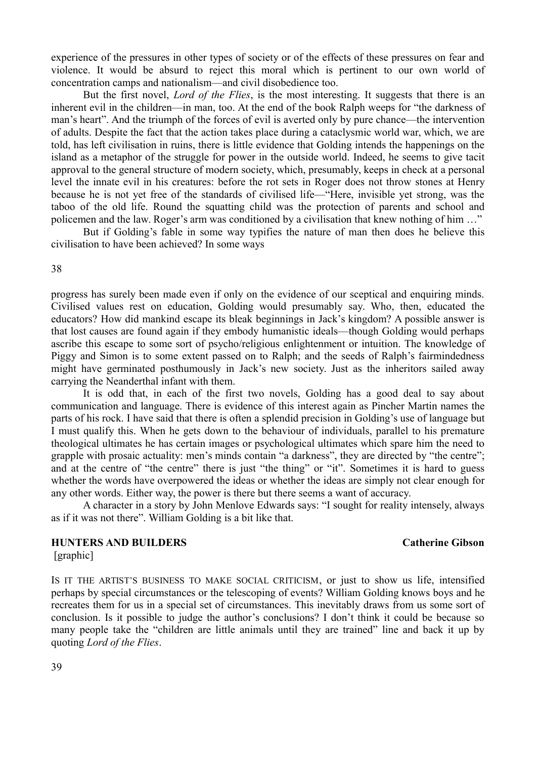experience of the pressures in other types of society or of the effects of these pressures on fear and violence. It would be absurd to reject this moral which is pertinent to our own world of concentration camps and nationalism—and civil disobedience too.

But the first novel, *Lord of the Flies*, is the most interesting. It suggests that there is an inherent evil in the children—in man, too. At the end of the book Ralph weeps for "the darkness of man's heart". And the triumph of the forces of evil is averted only by pure chance—the intervention of adults. Despite the fact that the action takes place during a cataclysmic world war, which, we are told, has left civilisation in ruins, there is little evidence that Golding intends the happenings on the island as a metaphor of the struggle for power in the outside world. Indeed, he seems to give tacit approval to the general structure of modern society, which, presumably, keeps in check at a personal level the innate evil in his creatures: before the rot sets in Roger does not throw stones at Henry because he is not yet free of the standards of civilised life—"Here, invisible yet strong, was the taboo of the old life. Round the squatting child was the protection of parents and school and policemen and the law. Roger's arm was conditioned by a civilisation that knew nothing of him …"

But if Golding's fable in some way typifies the nature of man then does he believe this civilisation to have been achieved? In some ways

38

progress has surely been made even if only on the evidence of our sceptical and enquiring minds. Civilised values rest on education, Golding would presumably say. Who, then, educated the educators? How did mankind escape its bleak beginnings in Jack's kingdom? A possible answer is that lost causes are found again if they embody humanistic ideals—though Golding would perhaps ascribe this escape to some sort of psycho/religious enlightenment or intuition. The knowledge of Piggy and Simon is to some extent passed on to Ralph; and the seeds of Ralph's fairmindedness might have germinated posthumously in Jack's new society. Just as the inheritors sailed away carrying the Neanderthal infant with them.

It is odd that, in each of the first two novels, Golding has a good deal to say about communication and language. There is evidence of this interest again as Pincher Martin names the parts of his rock. I have said that there is often a splendid precision in Golding's use of language but I must qualify this. When he gets down to the behaviour of individuals, parallel to his premature theological ultimates he has certain images or psychological ultimates which spare him the need to grapple with prosaic actuality: men's minds contain "a darkness", they are directed by "the centre"; and at the centre of "the centre" there is just "the thing" or "it". Sometimes it is hard to guess whether the words have overpowered the ideas or whether the ideas are simply not clear enough for any other words. Either way, the power is there but there seems a want of accuracy.

A character in a story by John Menlove Edwards says: "I sought for reality intensely, always as if it was not there". William Golding is a bit like that.

#### **HUNTERS AND BUILDERS** Catherine Gibson

[graphic]

IS IT THE ARTIST'S BUSINESS TO MAKE SOCIAL CRITICISM, or just to show us life, intensified perhaps by special circumstances or the telescoping of events? William Golding knows boys and he recreates them for us in a special set of circumstances. This inevitably draws from us some sort of conclusion. Is it possible to judge the author's conclusions? I don't think it could be because so many people take the "children are little animals until they are trained" line and back it up by quoting *Lord of the Flies*.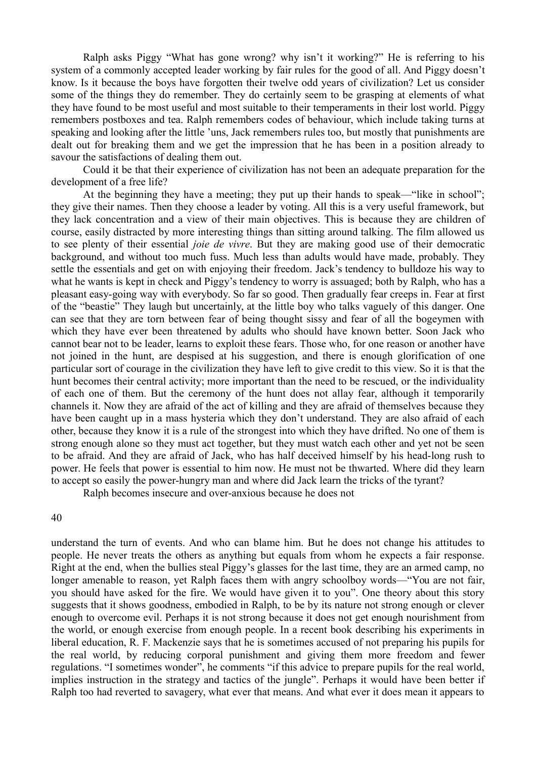Ralph asks Piggy "What has gone wrong? why isn't it working?" He is referring to his system of a commonly accepted leader working by fair rules for the good of all. And Piggy doesn't know. Is it because the boys have forgotten their twelve odd years of civilization? Let us consider some of the things they do remember. They do certainly seem to be grasping at elements of what they have found to be most useful and most suitable to their temperaments in their lost world. Piggy remembers postboxes and tea. Ralph remembers codes of behaviour, which include taking turns at speaking and looking after the little 'uns, Jack remembers rules too, but mostly that punishments are dealt out for breaking them and we get the impression that he has been in a position already to savour the satisfactions of dealing them out.

Could it be that their experience of civilization has not been an adequate preparation for the development of a free life?

At the beginning they have a meeting; they put up their hands to speak—"like in school"; they give their names. Then they choose a leader by voting. All this is a very useful framework, but they lack concentration and a view of their main objectives. This is because they are children of course, easily distracted by more interesting things than sitting around talking. The film allowed us to see plenty of their essential *joie de vivre*. But they are making good use of their democratic background, and without too much fuss. Much less than adults would have made, probably. They settle the essentials and get on with enjoying their freedom. Jack's tendency to bulldoze his way to what he wants is kept in check and Piggy's tendency to worry is assuaged; both by Ralph, who has a pleasant easy-going way with everybody. So far so good. Then gradually fear creeps in. Fear at first of the "beastie" They laugh but uncertainly, at the little boy who talks vaguely of this danger. One can see that they are torn between fear of being thought sissy and fear of all the bogeymen with which they have ever been threatened by adults who should have known better. Soon Jack who cannot bear not to be leader, learns to exploit these fears. Those who, for one reason or another have not joined in the hunt, are despised at his suggestion, and there is enough glorification of one particular sort of courage in the civilization they have left to give credit to this view. So it is that the hunt becomes their central activity; more important than the need to be rescued, or the individuality of each one of them. But the ceremony of the hunt does not allay fear, although it temporarily channels it. Now they are afraid of the act of killing and they are afraid of themselves because they have been caught up in a mass hysteria which they don't understand. They are also afraid of each other, because they know it is a rule of the strongest into which they have drifted. No one of them is strong enough alone so they must act together, but they must watch each other and yet not be seen to be afraid. And they are afraid of Jack, who has half deceived himself by his head-long rush to power. He feels that power is essential to him now. He must not be thwarted. Where did they learn to accept so easily the power-hungry man and where did Jack learn the tricks of the tyrant?

Ralph becomes insecure and over-anxious because he does not

40

understand the turn of events. And who can blame him. But he does not change his attitudes to people. He never treats the others as anything but equals from whom he expects a fair response. Right at the end, when the bullies steal Piggy's glasses for the last time, they are an armed camp, no longer amenable to reason, yet Ralph faces them with angry schoolboy words—"You are not fair, you should have asked for the fire. We would have given it to you". One theory about this story suggests that it shows goodness, embodied in Ralph, to be by its nature not strong enough or clever enough to overcome evil. Perhaps it is not strong because it does not get enough nourishment from the world, or enough exercise from enough people. In a recent book describing his experiments in liberal education, R. F. Mackenzie says that he is sometimes accused of not preparing his pupils for the real world, by reducing corporal punishment and giving them more freedom and fewer regulations. "I sometimes wonder", he comments "if this advice to prepare pupils for the real world, implies instruction in the strategy and tactics of the jungle". Perhaps it would have been better if Ralph too had reverted to savagery, what ever that means. And what ever it does mean it appears to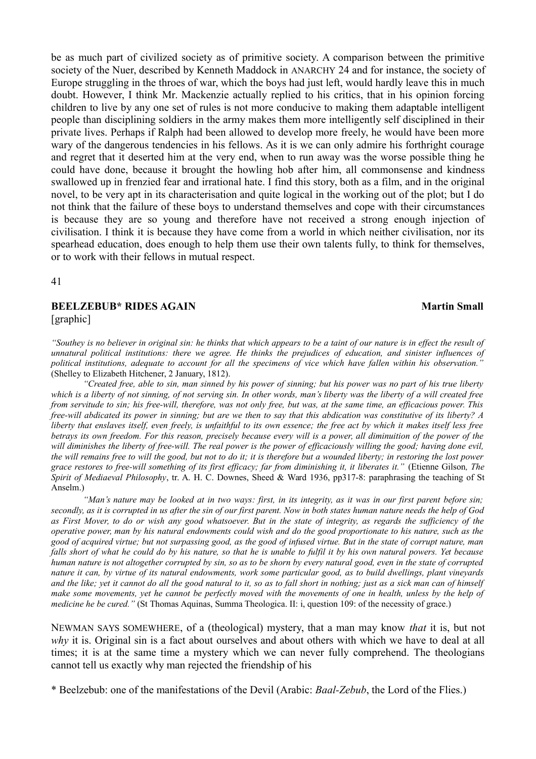be as much part of civilized society as of primitive society. A comparison between the primitive society of the Nuer, described by Kenneth Maddock in ANARCHY 24 and for instance, the society of Europe struggling in the throes of war, which the boys had just left, would hardly leave this in much doubt. However, I think Mr. Mackenzie actually replied to his critics, that in his opinion forcing children to live by any one set of rules is not more conducive to making them adaptable intelligent people than disciplining soldiers in the army makes them more intelligently self disciplined in their private lives. Perhaps if Ralph had been allowed to develop more freely, he would have been more wary of the dangerous tendencies in his fellows. As it is we can only admire his forthright courage and regret that it deserted him at the very end, when to run away was the worse possible thing he could have done, because it brought the howling hob after him, all commonsense and kindness swallowed up in frenzied fear and irrational hate. I find this story, both as a film, and in the original novel, to be very apt in its characterisation and quite logical in the working out of the plot; but I do not think that the failure of these boys to understand themselves and cope with their circumstances is because they are so young and therefore have not received a strong enough injection of civilisation. I think it is because they have come from a world in which neither civilisation, nor its spearhead education, does enough to help them use their own talents fully, to think for themselves, or to work with their fellows in mutual respect.

41

#### **BEELZEBUB\* RIDES AGAIN** Martin Small [graphic]

*"Southey is no believer in original sin: he thinks that which appears to be a taint of our nature is in effect the result of unnatural political institutions: there we agree. He thinks the prejudices of education, and sinister influences of political institutions, adequate to account for all the specimens of vice which have fallen within his observation."* (Shelley to Elizabeth Hitchener, 2 January, 1812).

*"Created free, able to sin, man sinned by his power of sinning; but his power was no part of his true liberty which is a liberty of not sinning, of not serving sin. In other words, man's liberty was the liberty of a will created free from servitude to sin; his free-will, therefore, was not only free, but was, at the same time, an efficacious power. This free-will abdicated its power in sinning; but are we then to say that this abdication was constitutive of its liberty? A liberty that enslaves itself, even freely, is unfaithful to its own essence; the free act by which it makes itself less free betrays its own freedom. For this reason, precisely because every will is a power, all diminuition of the power of the will diminishes the liberty of free-will. The real power is the power of efficaciously willing the good; having done evil, the will remains free to will the good, but not to do it; it is therefore but a wounded liberty; in restoring the lost power grace restores to free-will something of its first efficacy; far from diminishing it, it liberates it."* (Etienne Gilson*, The Spirit of Mediaeval Philosophy*, tr. A. H. C. Downes, Sheed & Ward 1936, pp317-8: paraphrasing the teaching of St Anselm.)

*"Man's nature may be looked at in two ways: first, in its integrity, as it was in our first parent before sin; secondly, as it is corrupted in us after the sin of our first parent. Now in both states human nature needs the help of God as First Mover, to do or wish any good whatsoever. But in the state of integrity, as regards the sufficiency of the operative power, man by his natural endowments could wish and do the good proportionate to his nature, such as the good of acquired virtue; but not surpassing good, as the good of infused virtue. But in the state of corrupt nature, man falls short of what he could do by his nature, so that he is unable to fulfil it by his own natural powers. Yet because human nature is not altogether corrupted by sin, so as to be shorn by every natural good, even in the state of corrupted nature it can, by virtue of its natural endowments, work some particular good, as to build dwellings, plant vineyards and the like; yet it cannot do all the good natural to it, so as to fall short in nothing; just as a sick man can of himself make some movements, yet he cannot be perfectly moved with the movements of one in health, unless by the help of medicine he be cured."* (St Thomas Aquinas, Summa Theologica. II: i, question 109: of the necessity of grace.)

NEWMAN SAYS SOMEWHERE, of a (theological) mystery, that a man may know *that* it is, but not *why* it is. Original sin is a fact about ourselves and about others with which we have to deal at all times; it is at the same time a mystery which we can never fully comprehend. The theologians cannot tell us exactly why man rejected the friendship of his

\* Beelzebub: one of the manifestations of the Devil (Arabic: *Baal-Zebub*, the Lord of the Flies.)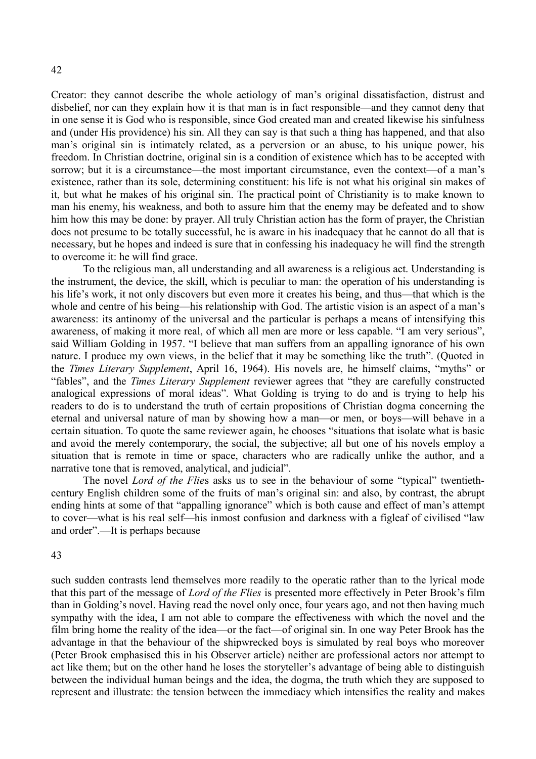Creator: they cannot describe the whole aetiology of man's original dissatisfaction, distrust and disbelief, nor can they explain how it is that man is in fact responsible—and they cannot deny that in one sense it is God who is responsible, since God created man and created likewise his sinfulness and (under His providence) his sin. All they can say is that such a thing has happened, and that also man's original sin is intimately related, as a perversion or an abuse, to his unique power, his freedom. In Christian doctrine, original sin is a condition of existence which has to be accepted with sorrow; but it is a circumstance—the most important circumstance, even the context—of a man's existence, rather than its sole, determining constituent: his life is not what his original sin makes of it, but what he makes of his original sin. The practical point of Christianity is to make known to man his enemy, his weakness, and both to assure him that the enemy may be defeated and to show him how this may be done: by prayer. All truly Christian action has the form of prayer, the Christian does not presume to be totally successful, he is aware in his inadequacy that he cannot do all that is necessary, but he hopes and indeed is sure that in confessing his inadequacy he will find the strength to overcome it: he will find grace.

To the religious man, all understanding and all awareness is a religious act. Understanding is the instrument, the device, the skill, which is peculiar to man: the operation of his understanding is his life's work, it not only discovers but even more it creates his being, and thus—that which is the whole and centre of his being—his relationship with God. The artistic vision is an aspect of a man's awareness: its antinomy of the universal and the particular is perhaps a means of intensifying this awareness, of making it more real, of which all men are more or less capable. "I am very serious", said William Golding in 1957. "I believe that man suffers from an appalling ignorance of his own nature. I produce my own views, in the belief that it may be something like the truth". (Quoted in the *Times Literary Supplement*, April 16, 1964). His novels are, he himself claims, "myths" or "fables", and the *Times Literary Supplement* reviewer agrees that "they are carefully constructed analogical expressions of moral ideas". What Golding is trying to do and is trying to help his readers to do is to understand the truth of certain propositions of Christian dogma concerning the eternal and universal nature of man by showing how a man—or men, or boys—will behave in a certain situation. To quote the same reviewer again, he chooses "situations that isolate what is basic and avoid the merely contemporary, the social, the subjective; all but one of his novels employ a situation that is remote in time or space, characters who are radically unlike the author, and a narrative tone that is removed, analytical, and judicial".

The novel *Lord of the Flie*s asks us to see in the behaviour of some "typical" twentiethcentury English children some of the fruits of man's original sin: and also, by contrast, the abrupt ending hints at some of that "appalling ignorance" which is both cause and effect of man's attempt to cover—what is his real self—his inmost confusion and darkness with a figleaf of civilised "law and order".—It is perhaps because

#### 43

such sudden contrasts lend themselves more readily to the operatic rather than to the lyrical mode that this part of the message of *Lord of the Flies* is presented more effectively in Peter Brook's film than in Golding's novel. Having read the novel only once, four years ago, and not then having much sympathy with the idea, I am not able to compare the effectiveness with which the novel and the film bring home the reality of the idea—or the fact—of original sin. In one way Peter Brook has the advantage in that the behaviour of the shipwrecked boys is simulated by real boys who moreover (Peter Brook emphasised this in his Observer article) neither are professional actors nor attempt to act like them; but on the other hand he loses the storyteller's advantage of being able to distinguish between the individual human beings and the idea, the dogma, the truth which they are supposed to represent and illustrate: the tension between the immediacy which intensifies the reality and makes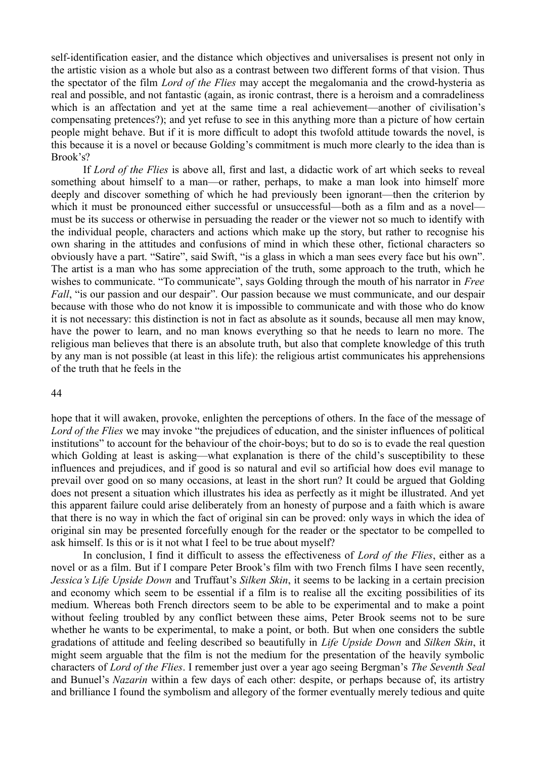self-identification easier, and the distance which objectives and universalises is present not only in the artistic vision as a whole but also as a contrast between two different forms of that vision. Thus the spectator of the film *Lord of the Flies* may accept the megalomania and the crowd-hysteria as real and possible, and not fantastic (again, as ironic contrast, there is a heroism and a comradeliness which is an affectation and yet at the same time a real achievement—another of civilisation's compensating pretences?); and yet refuse to see in this anything more than a picture of how certain people might behave. But if it is more difficult to adopt this twofold attitude towards the novel, is this because it is a novel or because Golding's commitment is much more clearly to the idea than is Brook's?

If *Lord of the Flies* is above all, first and last, a didactic work of art which seeks to reveal something about himself to a man—or rather, perhaps, to make a man look into himself more deeply and discover something of which he had previously been ignorant—then the criterion by which it must be pronounced either successful or unsuccessful—both as a film and as a novel must be its success or otherwise in persuading the reader or the viewer not so much to identify with the individual people, characters and actions which make up the story, but rather to recognise his own sharing in the attitudes and confusions of mind in which these other, fictional characters so obviously have a part. "Satire", said Swift, "is a glass in which a man sees every face but his own". The artist is a man who has some appreciation of the truth, some approach to the truth, which he wishes to communicate. "To communicate", says Golding through the mouth of his narrator in *Free Fall*, "is our passion and our despair". Our passion because we must communicate, and our despair because with those who do not know it is impossible to communicate and with those who do know it is not necessary: this distinction is not in fact as absolute as it sounds, because all men may know, have the power to learn, and no man knows everything so that he needs to learn no more. The religious man believes that there is an absolute truth, but also that complete knowledge of this truth by any man is not possible (at least in this life): the religious artist communicates his apprehensions of the truth that he feels in the

#### 44

hope that it will awaken, provoke, enlighten the perceptions of others. In the face of the message of *Lord of the Flies* we may invoke "the prejudices of education, and the sinister influences of political institutions" to account for the behaviour of the choir-boys; but to do so is to evade the real question which Golding at least is asking—what explanation is there of the child's susceptibility to these influences and prejudices, and if good is so natural and evil so artificial how does evil manage to prevail over good on so many occasions, at least in the short run? It could be argued that Golding does not present a situation which illustrates his idea as perfectly as it might be illustrated. And yet this apparent failure could arise deliberately from an honesty of purpose and a faith which is aware that there is no way in which the fact of original sin can be proved: only ways in which the idea of original sin may be presented forcefully enough for the reader or the spectator to be compelled to ask himself. Is this or is it not what I feel to be true about myself?

In conclusion, I find it difficult to assess the effectiveness of *Lord of the Flies*, either as a novel or as a film. But if I compare Peter Brook's film with two French films I have seen recently, *Jessica's Life Upside Down* and Truffaut's *Silken Skin*, it seems to be lacking in a certain precision and economy which seem to be essential if a film is to realise all the exciting possibilities of its medium. Whereas both French directors seem to be able to be experimental and to make a point without feeling troubled by any conflict between these aims, Peter Brook seems not to be sure whether he wants to be experimental, to make a point, or both. But when one considers the subtle gradations of attitude and feeling described so beautifully in *Life Upside Down* and *Silken Skin*, it might seem arguable that the film is not the medium for the presentation of the heavily symbolic characters of *Lord of the Flies*. I remember just over a year ago seeing Bergman's *The Seventh Seal* and Bunuel's *Nazarin* within a few days of each other: despite, or perhaps because of, its artistry and brilliance I found the symbolism and allegory of the former eventually merely tedious and quite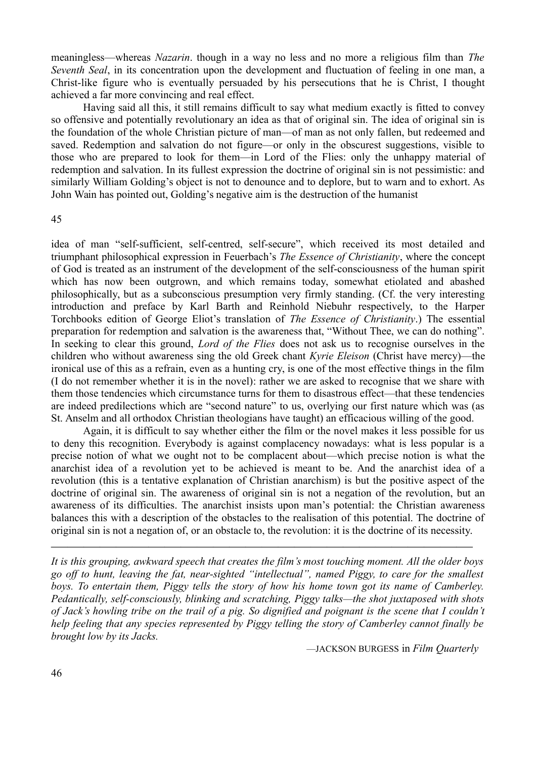meaningless—whereas *Nazarin*. though in a way no less and no more a religious film than *The Seventh Seal*, in its concentration upon the development and fluctuation of feeling in one man, a Christ-like figure who is eventually persuaded by his persecutions that he is Christ, I thought achieved a far more convincing and real effect.

Having said all this, it still remains difficult to say what medium exactly is fitted to convey so offensive and potentially revolutionary an idea as that of original sin. The idea of original sin is the foundation of the whole Christian picture of man—of man as not only fallen, but redeemed and saved. Redemption and salvation do not figure—or only in the obscurest suggestions, visible to those who are prepared to look for them—in Lord of the Flies: only the unhappy material of redemption and salvation. In its fullest expression the doctrine of original sin is not pessimistic: and similarly William Golding's object is not to denounce and to deplore, but to warn and to exhort. As John Wain has pointed out, Golding's negative aim is the destruction of the humanist

#### 45

idea of man "self-sufficient, self-centred, self-secure", which received its most detailed and triumphant philosophical expression in Feuerbach's *The Essence of Christianity*, where the concept of God is treated as an instrument of the development of the self-consciousness of the human spirit which has now been outgrown, and which remains today, somewhat etiolated and abashed philosophically, but as a subconscious presumption very firmly standing. (Cf. the very interesting introduction and preface by Karl Barth and Reinhold Niebuhr respectively, to the Harper Torchbooks edition of George Eliot's translation of *The Essence of Christianity*.) The essential preparation for redemption and salvation is the awareness that, "Without Thee, we can do nothing". In seeking to clear this ground, *Lord of the Flies* does not ask us to recognise ourselves in the children who without awareness sing the old Greek chant *Kyrie Eleison* (Christ have mercy)—the ironical use of this as a refrain, even as a hunting cry, is one of the most effective things in the film (I do not remember whether it is in the novel): rather we are asked to recognise that we share with them those tendencies which circumstance turns for them to disastrous effect—that these tendencies are indeed predilections which are "second nature" to us, overlying our first nature which was (as St. Anselm and all orthodox Christian theologians have taught) an efficacious willing of the good.

Again, it is difficult to say whether either the film or the novel makes it less possible for us to deny this recognition. Everybody is against complacency nowadays: what is less popular is a precise notion of what we ought not to be complacent about—which precise notion is what the anarchist idea of a revolution yet to be achieved is meant to be. And the anarchist idea of a revolution (this is a tentative explanation of Christian anarchism) is but the positive aspect of the doctrine of original sin. The awareness of original sin is not a negation of the revolution, but an awareness of its difficulties. The anarchist insists upon man's potential: the Christian awareness balances this with a description of the obstacles to the realisation of this potential. The doctrine of original sin is not a negation of, or an obstacle to, the revolution: it is the doctrine of its necessity.

*It is this grouping, awkward speech that creates the film's most touching moment. All the older boys go off to hunt, leaving the fat, near-sighted "intellectual", named Piggy, to care for the smallest boys. To entertain them, Piggy tells the story of how his home town got its name of Camberley. Pedantically, self-consciously, blinking and scratching, Piggy talks—the shot juxtaposed with shots of Jack's howling tribe on the trail of a pig. So dignified and poignant is the scene that I couldn't help feeling that any species represented by Piggy telling the story of Camberley cannot finally be brought low by its Jacks.* 

——————————————————————————

—JACKSON BURGESS in *Film Quarterly*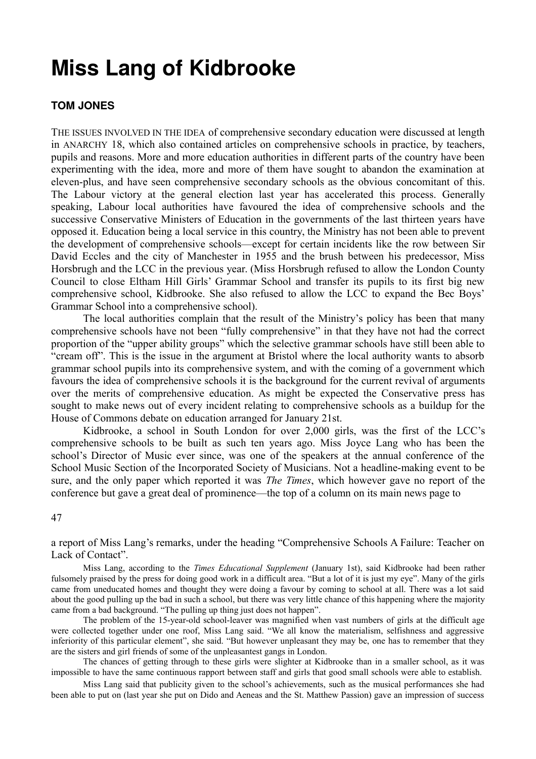### **Miss Lang of Kidbrooke**

#### **TOM JONES**

THE ISSUES INVOLVED IN THE IDEA of comprehensive secondary education were discussed at length in ANARCHY 18, which also contained articles on comprehensive schools in practice, by teachers, pupils and reasons. More and more education authorities in different parts of the country have been experimenting with the idea, more and more of them have sought to abandon the examination at eleven-plus, and have seen comprehensive secondary schools as the obvious concomitant of this. The Labour victory at the general election last year has accelerated this process. Generally speaking, Labour local authorities have favoured the idea of comprehensive schools and the successive Conservative Ministers of Education in the governments of the last thirteen years have opposed it. Education being a local service in this country, the Ministry has not been able to prevent the development of comprehensive schools—except for certain incidents like the row between Sir David Eccles and the city of Manchester in 1955 and the brush between his predecessor, Miss Horsbrugh and the LCC in the previous year. (Miss Horsbrugh refused to allow the London County Council to close Eltham Hill Girls' Grammar School and transfer its pupils to its first big new comprehensive school, Kidbrooke. She also refused to allow the LCC to expand the Bec Boys' Grammar School into a comprehensive school).

The local authorities complain that the result of the Ministry's policy has been that many comprehensive schools have not been "fully comprehensive" in that they have not had the correct proportion of the "upper ability groups" which the selective grammar schools have still been able to "cream off". This is the issue in the argument at Bristol where the local authority wants to absorb grammar school pupils into its comprehensive system, and with the coming of a government which favours the idea of comprehensive schools it is the background for the current revival of arguments over the merits of comprehensive education. As might be expected the Conservative press has sought to make news out of every incident relating to comprehensive schools as a buildup for the House of Commons debate on education arranged for January 21st.

Kidbrooke, a school in South London for over 2,000 girls, was the first of the LCC's comprehensive schools to be built as such ten years ago. Miss Joyce Lang who has been the school's Director of Music ever since, was one of the speakers at the annual conference of the School Music Section of the Incorporated Society of Musicians. Not a headline-making event to be sure, and the only paper which reported it was *The Times*, which however gave no report of the conference but gave a great deal of prominence—the top of a column on its main news page to

#### 47

a report of Miss Lang's remarks, under the heading "Comprehensive Schools A Failure: Teacher on Lack of Contact".

Miss Lang, according to the *Times Educational Supplement* (January 1st), said Kidbrooke had been rather fulsomely praised by the press for doing good work in a difficult area. "But a lot of it is just my eye". Many of the girls came from uneducated homes and thought they were doing a favour by coming to school at all. There was a lot said about the good pulling up the bad in such a school, but there was very little chance of this happening where the majority came from a bad background. "The pulling up thing just does not happen".

The problem of the 15-year-old school-leaver was magnified when vast numbers of girls at the difficult age were collected together under one roof, Miss Lang said. "We all know the materialism, selfishness and aggressive inferiority of this particular element", she said. "But however unpleasant they may be, one has to remember that they are the sisters and girl friends of some of the unpleasantest gangs in London.

The chances of getting through to these girls were slighter at Kidbrooke than in a smaller school, as it was impossible to have the same continuous rapport between staff and girls that good small schools were able to establish.

Miss Lang said that publicity given to the school's achievements, such as the musical performances she had been able to put on (last year she put on Dido and Aeneas and the St. Matthew Passion) gave an impression of success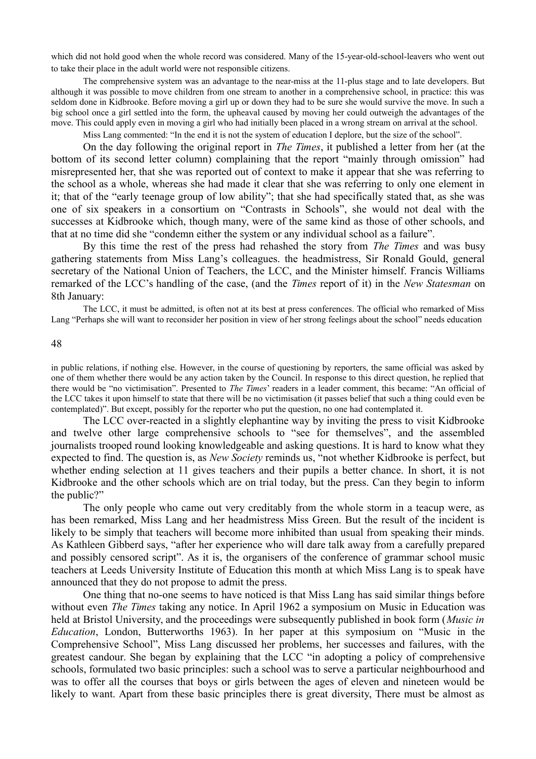which did not hold good when the whole record was considered. Many of the 15-year-old-school-leavers who went out to take their place in the adult world were not responsible citizens.

The comprehensive system was an advantage to the near-miss at the 11-plus stage and to late developers. But although it was possible to move children from one stream to another in a comprehensive school, in practice: this was seldom done in Kidbrooke. Before moving a girl up or down they had to be sure she would survive the move. In such a big school once a girl settled into the form, the upheaval caused by moving her could outweigh the advantages of the move. This could apply even in moving a girl who had initially been placed in a wrong stream on arrival at the school.

Miss Lang commented: "In the end it is not the system of education I deplore, but the size of the school".

On the day following the original report in *The Times*, it published a letter from her (at the bottom of its second letter column) complaining that the report "mainly through omission" had misrepresented her, that she was reported out of context to make it appear that she was referring to the school as a whole, whereas she had made it clear that she was referring to only one element in it; that of the "early teenage group of low ability"; that she had specifically stated that, as she was one of six speakers in a consortium on "Contrasts in Schools", she would not deal with the successes at Kidbrooke which, though many, were of the same kind as those of other schools, and that at no time did she "condemn either the system or any individual school as a failure".

By this time the rest of the press had rehashed the story from *The Times* and was busy gathering statements from Miss Lang's colleagues. the headmistress, Sir Ronald Gould, general secretary of the National Union of Teachers, the LCC, and the Minister himself. Francis Williams remarked of the LCC's handling of the case, (and the *Times* report of it) in the *New Statesman* on 8th January:

The LCC, it must be admitted, is often not at its best at press conferences. The official who remarked of Miss Lang "Perhaps she will want to reconsider her position in view of her strong feelings about the school" needs education

48

in public relations, if nothing else. However, in the course of questioning by reporters, the same official was asked by one of them whether there would be any action taken by the Council. In response to this direct question, he replied that there would be "no victimisation". Presented to *The Times*' readers in a leader comment, this became: "An official of the LCC takes it upon himself to state that there will be no victimisation (it passes belief that such a thing could even be contemplated)". But except, possibly for the reporter who put the question, no one had contemplated it.

The LCC over-reacted in a slightly elephantine way by inviting the press to visit Kidbrooke and twelve other large comprehensive schools to "see for themselves", and the assembled journalists trooped round looking knowledgeable and asking questions. It is hard to know what they expected to find. The question is, as *New Society* reminds us, "not whether Kidbrooke is perfect, but whether ending selection at 11 gives teachers and their pupils a better chance. In short, it is not Kidbrooke and the other schools which are on trial today, but the press. Can they begin to inform the public?"

The only people who came out very creditably from the whole storm in a teacup were, as has been remarked, Miss Lang and her headmistress Miss Green. But the result of the incident is likely to be simply that teachers will become more inhibited than usual from speaking their minds. As Kathleen Gibberd says, "after her experience who will dare talk away from a carefully prepared and possibly censored script". As it is, the organisers of the conference of grammar school music teachers at Leeds University Institute of Education this month at which Miss Lang is to speak have announced that they do not propose to admit the press.

One thing that no-one seems to have noticed is that Miss Lang has said similar things before without even *The Times* taking any notice. In April 1962 a symposium on Music in Education was held at Bristol University, and the proceedings were subsequently published in book form (*Music in Education*, London, Butterworths 1963). In her paper at this symposium on "Music in the Comprehensive School", Miss Lang discussed her problems, her successes and failures, with the greatest candour. She began by explaining that the LCC "in adopting a policy of comprehensive schools, formulated two basic principles: such a school was to serve a particular neighbourhood and was to offer all the courses that boys or girls between the ages of eleven and nineteen would be likely to want. Apart from these basic principles there is great diversity, There must be almost as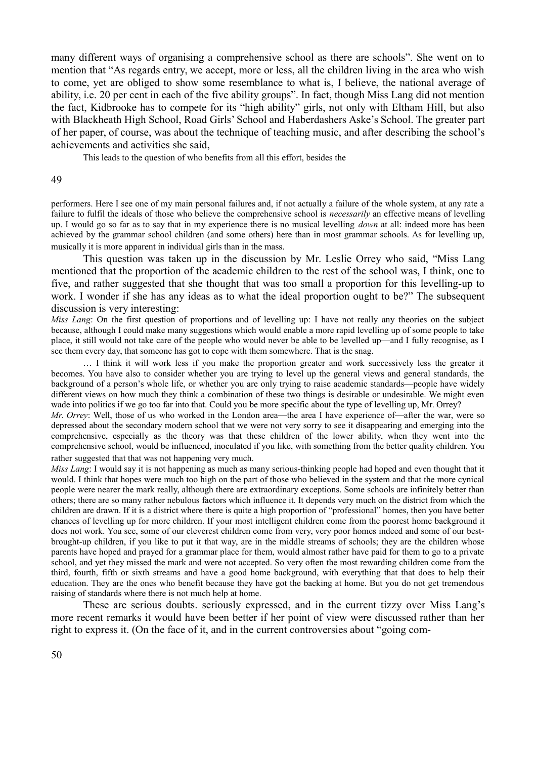many different ways of organising a comprehensive school as there are schools". She went on to mention that "As regards entry, we accept, more or less, all the children living in the area who wish to come, yet are obliged to show some resemblance to what is, I believe, the national average of ability, i.e. 20 per cent in each of the five ability groups". In fact, though Miss Lang did not mention the fact, Kidbrooke has to compete for its "high ability" girls, not only with Eltham Hill, but also with Blackheath High School, Road Girls' School and Haberdashers Aske's School. The greater part of her paper, of course, was about the technique of teaching music, and after describing the school's achievements and activities she said,

This leads to the question of who benefits from all this effort, besides the

#### 49

performers. Here I see one of my main personal failures and, if not actually a failure of the whole system, at any rate a failure to fulfil the ideals of those who believe the comprehensive school is *necessarily* an effective means of levelling up. I would go so far as to say that in my experience there is no musical levelling *down* at all: indeed more has been achieved by the grammar school children (and some others) here than in most grammar schools. As for levelling up, musically it is more apparent in individual girls than in the mass.

This question was taken up in the discussion by Mr. Leslie Orrey who said, "Miss Lang mentioned that the proportion of the academic children to the rest of the school was, I think, one to five, and rather suggested that she thought that was too small a proportion for this levelling-up to work. I wonder if she has any ideas as to what the ideal proportion ought to be?" The subsequent discussion is very interesting:

*Miss Lang*: On the first question of proportions and of levelling up: I have not really any theories on the subject because, although I could make many suggestions which would enable a more rapid levelling up of some people to take place, it still would not take care of the people who would never be able to be levelled up—and I fully recognise, as I see them every day, that someone has got to cope with them somewhere. That is the snag.

… I think it will work less if you make the proportion greater and work successively less the greater it becomes. You have also to consider whether you are trying to level up the general views and general standards, the background of a person's whole life, or whether you are only trying to raise academic standards—people have widely different views on how much they think a combination of these two things is desirable or undesirable. We might even wade into politics if we go too far into that. Could you be more specific about the type of levelling up, Mr. Orrey?

*Mr. Orrey*: Well, those of us who worked in the London area—the area I have experience of—after the war, were so depressed about the secondary modern school that we were not very sorry to see it disappearing and emerging into the comprehensive, especially as the theory was that these children of the lower ability, when they went into the comprehensive school, would be influenced, inoculated if you like, with something from the better quality children. You rather suggested that that was not happening very much.

*Miss Lang*: I would say it is not happening as much as many serious-thinking people had hoped and even thought that it would. I think that hopes were much too high on the part of those who believed in the system and that the more cynical people were nearer the mark really, although there are extraordinary exceptions. Some schools are infinitely better than others; there are so many rather nebulous factors which influence it. It depends very much on the district from which the children are drawn. If it is a district where there is quite a high proportion of "professional" homes, then you have better chances of levelling up for more children. If your most intelligent children come from the poorest home background it does not work. You see, some of our cleverest children come from very, very poor homes indeed and some of our bestbrought-up children, if you like to put it that way, are in the middle streams of schools; they are the children whose parents have hoped and prayed for a grammar place for them, would almost rather have paid for them to go to a private school, and yet they missed the mark and were not accepted. So very often the most rewarding children come from the third, fourth, fifth or sixth streams and have a good home background, with everything that that does to help their education. They are the ones who benefit because they have got the backing at home. But you do not get tremendous raising of standards where there is not much help at home.

These are serious doubts. seriously expressed, and in the current tizzy over Miss Lang's more recent remarks it would have been better if her point of view were discussed rather than her right to express it. (On the face of it, and in the current controversies about "going com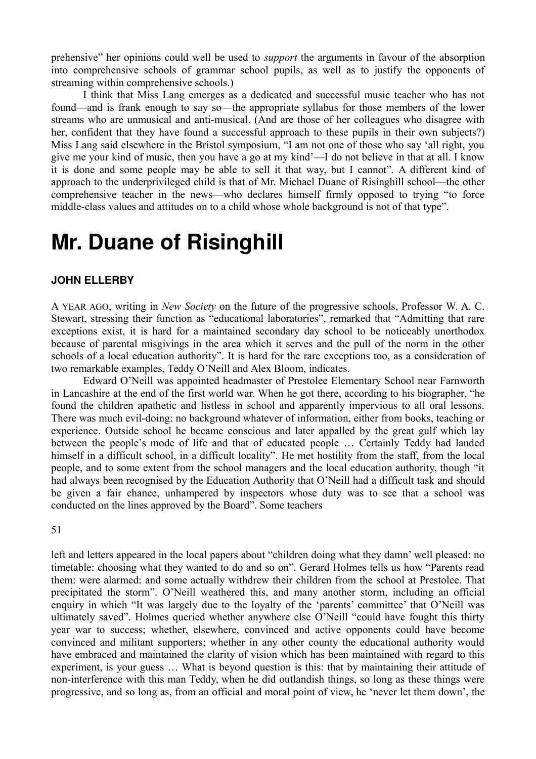prehensive" her opinions could well be used to *support* the arguments in favour of the absorption into comprehensive schools of grammar school pupils, as well as to justify the opponents of streaming within comprehensive schools.)

I think that Miss Lang emerges as a dedicated and successful music teacher who has not found—and is frank enough to say so—the appropriate syllabus for those members of the lower streams who are unmusical and anti-musical. (And are those of her colleagues who disagree with her, confident that they have found a successful approach to these pupils in their own subjects?) Miss Lang said elsewhere in the Bristol symposium, "I am not one of those who say 'all right, you give me your kind of music, then you have a go at my kind'—I do not believe in that at all. I know it is done and some people may be able to sell it that way, but I cannot". A different kind of approach to the underprivileged child is that of Mr. Michael Duane of Risinghill school—the other comprehensive teacher in the news—who declares himself firmly opposed to trying "to force middle-class values and attitudes on to a child whose whole background is not of that type".

### **Mr. Duane of Risinghill**

#### **JOHN ELLERBY**

A YEAR AGO, writing in *New Society* on the future of the progressive schools, Professor W. A. C. Stewart, stressing their function as "educational laboratories", remarked that "Admitting that rare exceptions exist, it is hard for a maintained secondary day school to be noticeably unorthodox because of parental misgivings in the area which it serves and the pull of the norm in the other schools of a local education authority". It is hard for the rare exceptions too, as a consideration of two remarkable examples, Teddy O'Neill and Alex Bloom, indicates.

Edward O'Neill was appointed headmaster of Prestolee Elementary School near Farnworth in Lancashire at the end of the first world war. When he got there, according to his biographer, "he found the children apathetic and listless in school and apparently impervious to all oral lessons. There was much evil-doing: no background whatever of information, either from books, teaching or experience. Outside school he became conscious and later appalled by the great gulf which lay between the people's mode of life and that of educated people … Certainly Teddy had landed himself in a difficult school, in a difficult locality". He met hostility from the staff, from the local people, and to some extent from the school managers and the local education authority, though "it had always been recognised by the Education Authority that O'Neill had a difficult task and should be given a fair chance, unhampered by inspectors whose duty was to see that a school was conducted on the lines approved by the Board". Some teachers

51

left and letters appeared in the local papers about "children doing what they damn' well pleased: no timetable: choosing what they wanted to do and so on". Gerard Holmes tells us how "Parents read them: were alarmed: and some actually withdrew their children from the school at Prestolee. That precipitated the storm". O'Neill weathered this, and many another storm, including an official enquiry in which "It was largely due to the loyalty of the 'parents' committee' that O'Neill was ultimately saved". Holmes queried whether anywhere else O'Neill "could have fought this thirty year war to success; whether, elsewhere, convinced and active opponents could have become convinced and militant supporters; whether in any other county the educational authority would have embraced and maintained the clarity of vision which has been maintained with regard to this experiment, is your guess … What is beyond question is this: that by maintaining their attitude of non-interference with this man Teddy, when he did outlandish things, so long as these things were progressive, and so long as, from an official and moral point of view, he 'never let them down', the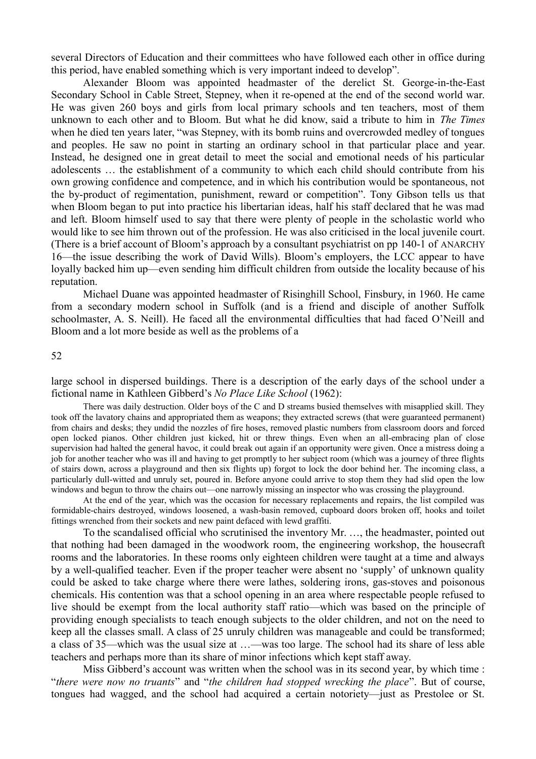several Directors of Education and their committees who have followed each other in office during this period, have enabled something which is very important indeed to develop".

Alexander Bloom was appointed headmaster of the derelict St. George-in-the-East Secondary School in Cable Street, Stepney, when it re-opened at the end of the second world war. He was given 260 boys and girls from local primary schools and ten teachers, most of them unknown to each other and to Bloom. But what he did know, said a tribute to him in *The Times* when he died ten years later, "was Stepney, with its bomb ruins and overcrowded medley of tongues and peoples. He saw no point in starting an ordinary school in that particular place and year. Instead, he designed one in great detail to meet the social and emotional needs of his particular adolescents … the establishment of a community to which each child should contribute from his own growing confidence and competence, and in which his contribution would be spontaneous, not the by-product of regimentation, punishment, reward or competition". Tony Gibson tells us that when Bloom began to put into practice his libertarian ideas, half his staff declared that he was mad and left. Bloom himself used to say that there were plenty of people in the scholastic world who would like to see him thrown out of the profession. He was also criticised in the local juvenile court. (There is a brief account of Bloom's approach by a consultant psychiatrist on pp 140-1 of ANARCHY 16—the issue describing the work of David Wills). Bloom's employers, the LCC appear to have loyally backed him up—even sending him difficult children from outside the locality because of his reputation.

Michael Duane was appointed headmaster of Risinghill School, Finsbury, in 1960. He came from a secondary modern school in Suffolk (and is a friend and disciple of another Suffolk schoolmaster, A. S. Neill). He faced all the environmental difficulties that had faced O'Neill and Bloom and a lot more beside as well as the problems of a

52

large school in dispersed buildings. There is a description of the early days of the school under a fictional name in Kathleen Gibberd's *No Place Like School* (1962):

There was daily destruction. Older boys of the C and D streams busied themselves with misapplied skill. They took off the lavatory chains and appropriated them as weapons; they extracted screws (that were guaranteed permanent) from chairs and desks; they undid the nozzles of fire hoses, removed plastic numbers from classroom doors and forced open locked pianos. Other children just kicked, hit or threw things. Even when an all-embracing plan of close supervision had halted the general havoc, it could break out again if an opportunity were given. Once a mistress doing a job for another teacher who was ill and having to get promptly to her subject room (which was a journey of three flights of stairs down, across a playground and then six flights up) forgot to lock the door behind her. The incoming class, a particularly dull-witted and unruly set, poured in. Before anyone could arrive to stop them they had slid open the low windows and begun to throw the chairs out—one narrowly missing an inspector who was crossing the playground.

At the end of the year, which was the occasion for necessary replacements and repairs, the list compiled was formidable-chairs destroyed, windows loosened, a wash-basin removed, cupboard doors broken off, hooks and toilet fittings wrenched from their sockets and new paint defaced with lewd graffiti.

To the scandalised official who scrutinised the inventory Mr. …, the headmaster, pointed out that nothing had been damaged in the woodwork room, the engineering workshop, the housecraft rooms and the laboratories. In these rooms only eighteen children were taught at a time and always by a well-qualified teacher. Even if the proper teacher were absent no 'supply' of unknown quality could be asked to take charge where there were lathes, soldering irons, gas-stoves and poisonous chemicals. His contention was that a school opening in an area where respectable people refused to live should be exempt from the local authority staff ratio—which was based on the principle of providing enough specialists to teach enough subjects to the older children, and not on the need to keep all the classes small. A class of 25 unruly children was manageable and could be transformed; a class of 35—which was the usual size at …—was too large. The school had its share of less able teachers and perhaps more than its share of minor infections which kept staff away.

Miss Gibberd's account was written when the school was in its second year, by which time : "*there were now no truants*" and "*the children had stopped wrecking the place*". But of course, tongues had wagged, and the school had acquired a certain notoriety—just as Prestolee or St.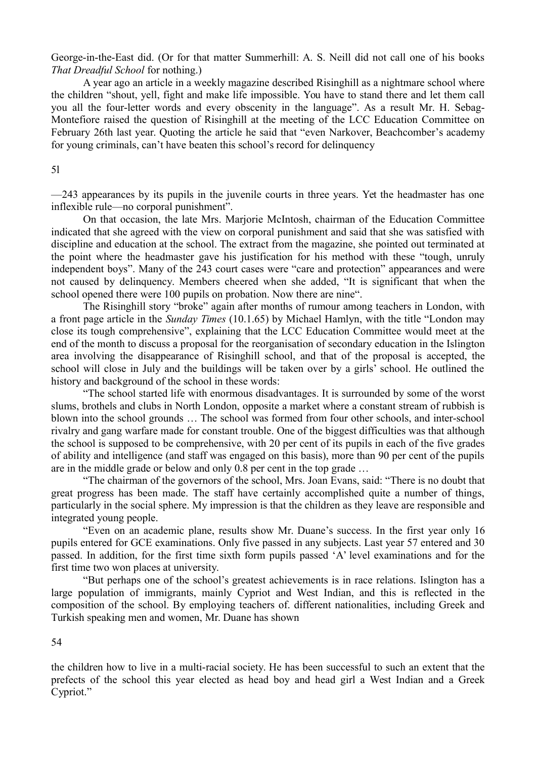George-in-the-East did. (Or for that matter Summerhill: A. S. Neill did not call one of his books *That Dreadful School* for nothing.)

A year ago an article in a weekly magazine described Risinghill as a nightmare school where the children "shout, yell, fight and make life impossible. You have to stand there and let them call you all the four-letter words and every obscenity in the language". As a result Mr. H. Sebag-Montefiore raised the question of Risinghill at the meeting of the LCC Education Committee on February 26th last year. Quoting the article he said that "even Narkover, Beachcomber's academy for young criminals, can't have beaten this school's record for delinquency

#### 5l

—243 appearances by its pupils in the juvenile courts in three years. Yet the headmaster has one inflexible rule—no corporal punishment".

On that occasion, the late Mrs. Marjorie McIntosh, chairman of the Education Committee indicated that she agreed with the view on corporal punishment and said that she was satisfied with discipline and education at the school. The extract from the magazine, she pointed out terminated at the point where the headmaster gave his justification for his method with these "tough, unruly independent boys". Many of the 243 court cases were "care and protection" appearances and were not caused by delinquency. Members cheered when she added, "It is significant that when the school opened there were 100 pupils on probation. Now there are nine".

The Risinghill story "broke" again after months of rumour among teachers in London, with a front page article in the *Sunday Times* (10.1.65) by Michael Hamlyn, with the title "London may close its tough comprehensive", explaining that the LCC Education Committee would meet at the end of the month to discuss a proposal for the reorganisation of secondary education in the Islington area involving the disappearance of Risinghill school, and that of the proposal is accepted, the school will close in July and the buildings will be taken over by a girls' school. He outlined the history and background of the school in these words:

"The school started life with enormous disadvantages. It is surrounded by some of the worst slums, brothels and clubs in North London, opposite a market where a constant stream of rubbish is blown into the school grounds … The school was formed from four other schools, and inter-school rivalry and gang warfare made for constant trouble. One of the biggest difficulties was that although the school is supposed to be comprehensive, with 20 per cent of its pupils in each of the five grades of ability and intelligence (and staff was engaged on this basis), more than 90 per cent of the pupils are in the middle grade or below and only 0.8 per cent in the top grade …

"The chairman of the governors of the school, Mrs. Joan Evans, said: "There is no doubt that great progress has been made. The staff have certainly accomplished quite a number of things, particularly in the social sphere. My impression is that the children as they leave are responsible and integrated young people.

"Even on an academic plane, results show Mr. Duane's success. In the first year only 16 pupils entered for GCE examinations. Only five passed in any subjects. Last year 57 entered and 30 passed. In addition, for the first time sixth form pupils passed 'A' level examinations and for the first time two won places at university.

"But perhaps one of the school's greatest achievements is in race relations. Islington has a large population of immigrants, mainly Cypriot and West Indian, and this is reflected in the composition of the school. By employing teachers of. different nationalities, including Greek and Turkish speaking men and women, Mr. Duane has shown

#### 54

the children how to live in a multi-racial society. He has been successful to such an extent that the prefects of the school this year elected as head boy and head girl a West Indian and a Greek Cypriot."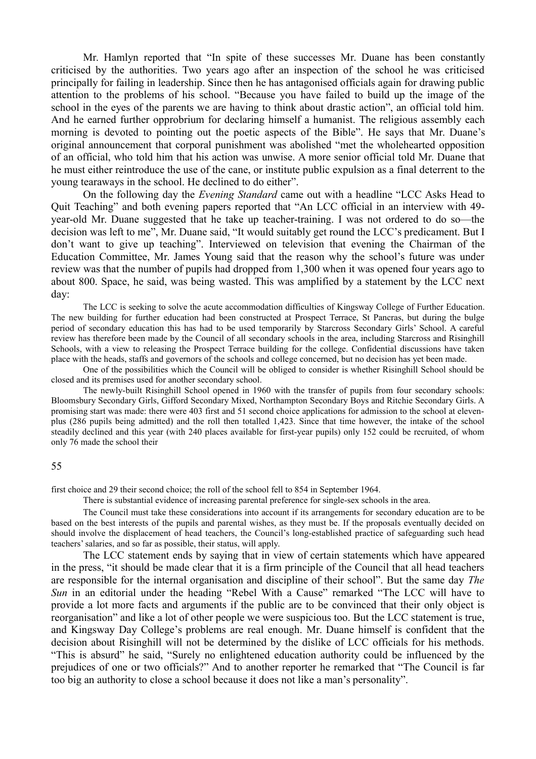Mr. Hamlyn reported that "In spite of these successes Mr. Duane has been constantly criticised by the authorities. Two years ago after an inspection of the school he was criticised principally for failing in leadership. Since then he has antagonised officials again for drawing public attention to the problems of his school. "Because you have failed to build up the image of the school in the eyes of the parents we are having to think about drastic action", an official told him. And he earned further opprobrium for declaring himself a humanist. The religious assembly each morning is devoted to pointing out the poetic aspects of the Bible". He says that Mr. Duane's original announcement that corporal punishment was abolished "met the wholehearted opposition of an official, who told him that his action was unwise. A more senior official told Mr. Duane that he must either reintroduce the use of the cane, or institute public expulsion as a final deterrent to the young tearaways in the school. He declined to do either".

On the following day the *Evening Standard* came out with a headline "LCC Asks Head to Quit Teaching" and both evening papers reported that "An LCC official in an interview with 49 year-old Mr. Duane suggested that he take up teacher-training. I was not ordered to do so—the decision was left to me", Mr. Duane said, "It would suitably get round the LCC's predicament. But I don't want to give up teaching". Interviewed on television that evening the Chairman of the Education Committee, Mr. James Young said that the reason why the school's future was under review was that the number of pupils had dropped from 1,300 when it was opened four years ago to about 800. Space, he said, was being wasted. This was amplified by a statement by the LCC next day:

The LCC is seeking to solve the acute accommodation difficulties of Kingsway College of Further Education. The new building for further education had been constructed at Prospect Terrace, St Pancras, but during the bulge period of secondary education this has had to be used temporarily by Starcross Secondary Girls' School. A careful review has therefore been made by the Council of all secondary schools in the area, including Starcross and Risinghill Schools, with a view to releasing the Prospect Terrace building for the college. Confidential discussions have taken place with the heads, staffs and governors of the schools and college concerned, but no decision has yet been made.

One of the possibilities which the Council will be obliged to consider is whether Risinghill School should be closed and its premises used for another secondary school.

The newly-built Risinghill School opened in 1960 with the transfer of pupils from four secondary schools: Bloomsbury Secondary Girls, Gifford Secondary Mixed, Northampton Secondary Boys and Ritchie Secondary Girls. A promising start was made: there were 403 first and 51 second choice applications for admission to the school at elevenplus (286 pupils being admitted) and the roll then totalled 1,423. Since that time however, the intake of the school steadily declined and this year (with 240 places available for first-year pupils) only 152 could be recruited, of whom only 76 made the school their

#### 55

first choice and 29 their second choice; the roll of the school fell to 854 in September 1964.

There is substantial evidence of increasing parental preference for single-sex schools in the area.

The Council must take these considerations into account if its arrangements for secondary education are to be based on the best interests of the pupils and parental wishes, as they must be. If the proposals eventually decided on should involve the displacement of head teachers, the Council's long-established practice of safeguarding such head teachers' salaries, and so far as possible, their status, will apply.

The LCC statement ends by saying that in view of certain statements which have appeared in the press, "it should be made clear that it is a firm principle of the Council that all head teachers are responsible for the internal organisation and discipline of their school". But the same day *The Sun* in an editorial under the heading "Rebel With a Cause" remarked "The LCC will have to provide a lot more facts and arguments if the public are to be convinced that their only object is reorganisation" and like a lot of other people we were suspicious too. But the LCC statement is true, and Kingsway Day College's problems are real enough. Mr. Duane himself is confident that the decision about Risinghill will not be determined by the dislike of LCC officials for his methods. "This is absurd" he said, "Surely no enlightened education authority could be influenced by the prejudices of one or two officials?" And to another reporter he remarked that "The Council is far too big an authority to close a school because it does not like a man's personality".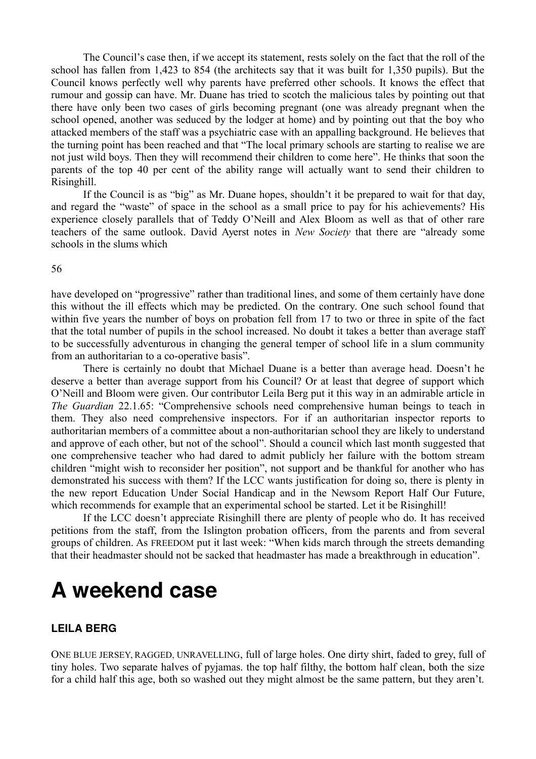The Council's case then, if we accept its statement, rests solely on the fact that the roll of the school has fallen from 1,423 to 854 (the architects say that it was built for 1,350 pupils). But the Council knows perfectly well why parents have preferred other schools. It knows the effect that rumour and gossip can have. Mr. Duane has tried to scotch the malicious tales by pointing out that there have only been two cases of girls becoming pregnant (one was already pregnant when the school opened, another was seduced by the lodger at home) and by pointing out that the boy who attacked members of the staff was a psychiatric case with an appalling background. He believes that the turning point has been reached and that "The local primary schools are starting to realise we are not just wild boys. Then they will recommend their children to come here". He thinks that soon the parents of the top 40 per cent of the ability range will actually want to send their children to Risinghill.

If the Council is as "big" as Mr. Duane hopes, shouldn't it be prepared to wait for that day, and regard the "waste" of space in the school as a small price to pay for his achievements? His experience closely parallels that of Teddy O'Neill and Alex Bloom as well as that of other rare teachers of the same outlook. David Ayerst notes in *New Society* that there are "already some schools in the slums which

56

have developed on "progressive" rather than traditional lines, and some of them certainly have done this without the ill effects which may be predicted. On the contrary. One such school found that within five years the number of boys on probation fell from 17 to two or three in spite of the fact that the total number of pupils in the school increased. No doubt it takes a better than average staff to be successfully adventurous in changing the general temper of school life in a slum community from an authoritarian to a co-operative basis".

There is certainly no doubt that Michael Duane is a better than average head. Doesn't he deserve a better than average support from his Council? Or at least that degree of support which O'Neill and Bloom were given. Our contributor Leila Berg put it this way in an admirable article in *The Guardian* 22.1.65: "Comprehensive schools need comprehensive human beings to teach in them. They also need comprehensive inspectors. For if an authoritarian inspector reports to authoritarian members of a committee about a non-authoritarian school they are likely to understand and approve of each other, but not of the school". Should a council which last month suggested that one comprehensive teacher who had dared to admit publicly her failure with the bottom stream children "might wish to reconsider her position", not support and be thankful for another who has demonstrated his success with them? If the LCC wants justification for doing so, there is plenty in the new report Education Under Social Handicap and in the Newsom Report Half Our Future, which recommends for example that an experimental school be started. Let it be Risinghill!

If the LCC doesn't appreciate Risinghill there are plenty of people who do. It has received petitions from the staff, from the Islington probation officers, from the parents and from several groups of children. As FREEDOM put it last week: "When kids march through the streets demanding that their headmaster should not be sacked that headmaster has made a breakthrough in education".

## **A weekend case**

### **LEILA BERG**

ONE BLUE JERSEY, RAGGED, UNRAVELLING, full of large holes. One dirty shirt, faded to grey, full of tiny holes. Two separate halves of pyjamas. the top half filthy, the bottom half clean, both the size for a child half this age, both so washed out they might almost be the same pattern, but they aren't.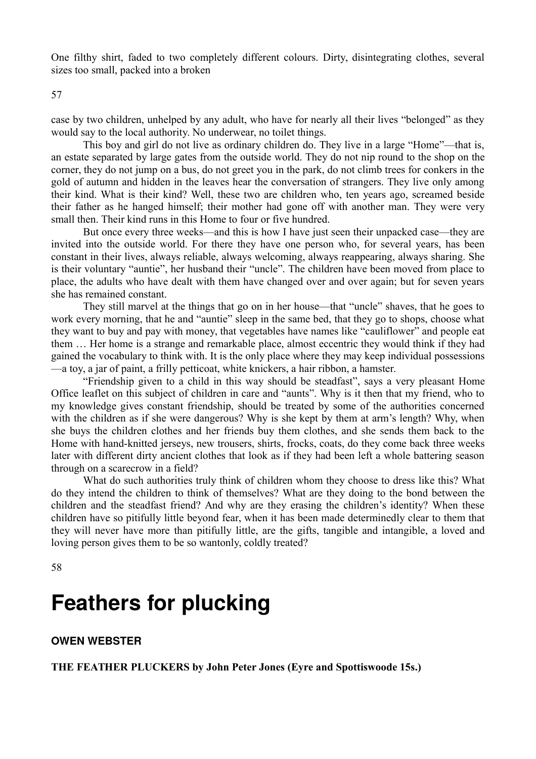One filthy shirt, faded to two completely different colours. Dirty, disintegrating clothes, several sizes too small, packed into a broken

57

case by two children, unhelped by any adult, who have for nearly all their lives "belonged" as they would say to the local authority. No underwear, no toilet things.

This boy and girl do not live as ordinary children do. They live in a large "Home"—that is, an estate separated by large gates from the outside world. They do not nip round to the shop on the corner, they do not jump on a bus, do not greet you in the park, do not climb trees for conkers in the gold of autumn and hidden in the leaves hear the conversation of strangers. They live only among their kind. What is their kind? Well, these two are children who, ten years ago, screamed beside their father as he hanged himself; their mother had gone off with another man. They were very small then. Their kind runs in this Home to four or five hundred.

But once every three weeks—and this is how I have just seen their unpacked case—they are invited into the outside world. For there they have one person who, for several years, has been constant in their lives, always reliable, always welcoming, always reappearing, always sharing. She is their voluntary "auntie", her husband their "uncle". The children have been moved from place to place, the adults who have dealt with them have changed over and over again; but for seven years she has remained constant.

They still marvel at the things that go on in her house—that "uncle" shaves, that he goes to work every morning, that he and "auntie" sleep in the same bed, that they go to shops, choose what they want to buy and pay with money, that vegetables have names like "cauliflower" and people eat them … Her home is a strange and remarkable place, almost eccentric they would think if they had gained the vocabulary to think with. It is the only place where they may keep individual possessions —a toy, a jar of paint, a frilly petticoat, white knickers, a hair ribbon, a hamster.

"Friendship given to a child in this way should be steadfast", says a very pleasant Home Office leaflet on this subject of children in care and "aunts". Why is it then that my friend, who to my knowledge gives constant friendship, should be treated by some of the authorities concerned with the children as if she were dangerous? Why is she kept by them at arm's length? Why, when she buys the children clothes and her friends buy them clothes, and she sends them back to the Home with hand-knitted jerseys, new trousers, shirts, frocks, coats, do they come back three weeks later with different dirty ancient clothes that look as if they had been left a whole battering season through on a scarecrow in a field?

What do such authorities truly think of children whom they choose to dress like this? What do they intend the children to think of themselves? What are they doing to the bond between the children and the steadfast friend? And why are they erasing the children's identity? When these children have so pitifully little beyond fear, when it has been made determinedly clear to them that they will never have more than pitifully little, are the gifts, tangible and intangible, a loved and loving person gives them to be so wantonly, coldly treated?

58

### **Feathers for plucking**

#### **OWEN WEBSTER**

**THE FEATHER PLUCKERS by John Peter Jones (Eyre and Spottiswoode 15s.)**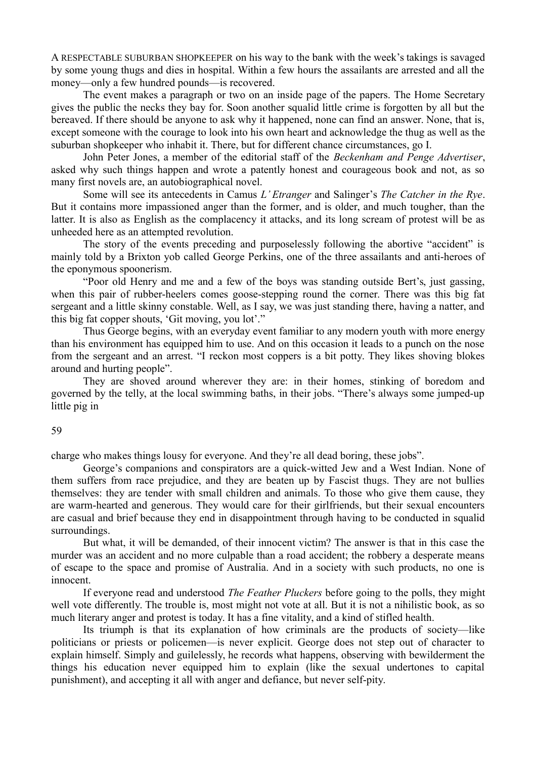A RESPECTABLE SUBURBAN SHOPKEEPER on his way to the bank with the week's takings is savaged by some young thugs and dies in hospital. Within a few hours the assailants are arrested and all the money—only a few hundred pounds—is recovered.

The event makes a paragraph or two on an inside page of the papers. The Home Secretary gives the public the necks they bay for. Soon another squalid little crime is forgotten by all but the bereaved. If there should be anyone to ask why it happened, none can find an answer. None, that is, except someone with the courage to look into his own heart and acknowledge the thug as well as the suburban shopkeeper who inhabit it. There, but for different chance circumstances, go I.

John Peter Jones, a member of the editorial staff of the *Beckenham and Penge Advertiser*, asked why such things happen and wrote a patently honest and courageous book and not, as so many first novels are, an autobiographical novel.

Some will see its antecedents in Camus *L' Etranger* and Salinger's *The Catcher in the Rye*. But it contains more impassioned anger than the former, and is older, and much tougher, than the latter. It is also as English as the complacency it attacks, and its long scream of protest will be as unheeded here as an attempted revolution.

The story of the events preceding and purposelessly following the abortive "accident" is mainly told by a Brixton yob called George Perkins, one of the three assailants and anti-heroes of the eponymous spoonerism.

"Poor old Henry and me and a few of the boys was standing outside Bert's, just gassing, when this pair of rubber-heelers comes goose-stepping round the corner. There was this big fat sergeant and a little skinny constable. Well, as I say, we was just standing there, having a natter, and this big fat copper shouts, 'Git moving, you lot'."

Thus George begins, with an everyday event familiar to any modern youth with more energy than his environment has equipped him to use. And on this occasion it leads to a punch on the nose from the sergeant and an arrest. "I reckon most coppers is a bit potty. They likes shoving blokes around and hurting people".

They are shoved around wherever they are: in their homes, stinking of boredom and governed by the telly, at the local swimming baths, in their jobs. "There's always some jumped-up little pig in

#### 59

charge who makes things lousy for everyone. And they're all dead boring, these jobs".

George's companions and conspirators are a quick-witted Jew and a West Indian. None of them suffers from race prejudice, and they are beaten up by Fascist thugs. They are not bullies themselves: they are tender with small children and animals. To those who give them cause, they are warm-hearted and generous. They would care for their girlfriends, but their sexual encounters are casual and brief because they end in disappointment through having to be conducted in squalid surroundings.

But what, it will be demanded, of their innocent victim? The answer is that in this case the murder was an accident and no more culpable than a road accident; the robbery a desperate means of escape to the space and promise of Australia. And in a society with such products, no one is innocent.

If everyone read and understood *The Feather Pluckers* before going to the polls, they might well vote differently. The trouble is, most might not vote at all. But it is not a nihilistic book, as so much literary anger and protest is today. It has a fine vitality, and a kind of stifled health.

Its triumph is that its explanation of how criminals are the products of society—like politicians or priests or policemen—is never explicit. George does not step out of character to explain himself. Simply and guilelessly, he records what happens, observing with bewilderment the things his education never equipped him to explain (like the sexual undertones to capital punishment), and accepting it all with anger and defiance, but never self-pity.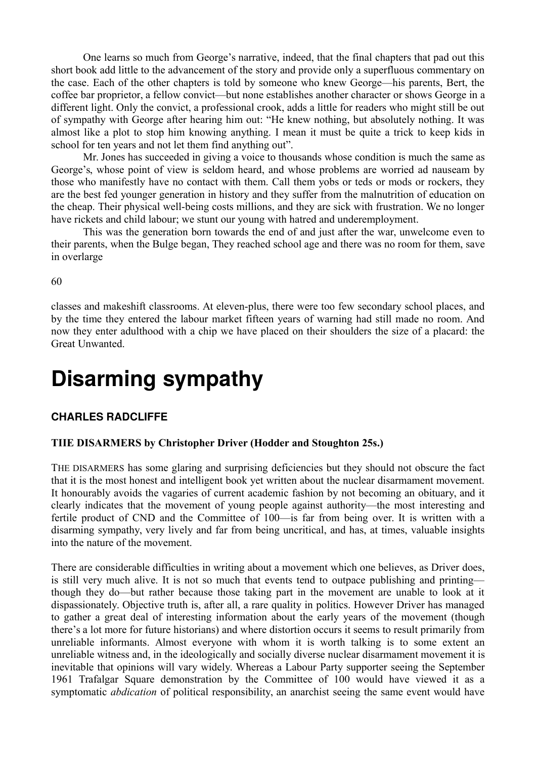One learns so much from George's narrative, indeed, that the final chapters that pad out this short book add little to the advancement of the story and provide only a superfluous commentary on the case. Each of the other chapters is told by someone who knew George—his parents, Bert, the coffee bar proprietor, a fellow convict—but none establishes another character or shows George in a different light. Only the convict, a professional crook, adds a little for readers who might still be out of sympathy with George after hearing him out: "He knew nothing, but absolutely nothing. It was almost like a plot to stop him knowing anything. I mean it must be quite a trick to keep kids in school for ten years and not let them find anything out".

Mr. Jones has succeeded in giving a voice to thousands whose condition is much the same as George's, whose point of view is seldom heard, and whose problems are worried ad nauseam by those who manifestly have no contact with them. Call them yobs or teds or mods or rockers, they are the best fed younger generation in history and they suffer from the malnutrition of education on the cheap. Their physical well-being costs millions, and they are sick with frustration. We no longer have rickets and child labour; we stunt our young with hatred and underemployment.

This was the generation born towards the end of and just after the war, unwelcome even to their parents, when the Bulge began, They reached school age and there was no room for them, save in overlarge

60

classes and makeshift classrooms. At eleven-plus, there were too few secondary school places, and by the time they entered the labour market fifteen years of warning had still made no room. And now they enter adulthood with a chip we have placed on their shoulders the size of a placard: the Great Unwanted.

## **Disarming sympathy**

#### **CHARLES RADCLIFFE**

#### **TIIE DISARMERS by Christopher Driver (Hodder and Stoughton 25s.)**

THE DISARMERS has some glaring and surprising deficiencies but they should not obscure the fact that it is the most honest and intelligent book yet written about the nuclear disarmament movement. It honourably avoids the vagaries of current academic fashion by not becoming an obituary, and it clearly indicates that the movement of young people against authority—the most interesting and fertile product of CND and the Committee of 100—is far from being over. It is written with a disarming sympathy, very lively and far from being uncritical, and has, at times, valuable insights into the nature of the movement.

There are considerable difficulties in writing about a movement which one believes, as Driver does, is still very much alive. It is not so much that events tend to outpace publishing and printing though they do—but rather because those taking part in the movement are unable to look at it dispassionately. Objective truth is, after all, a rare quality in politics. However Driver has managed to gather a great deal of interesting information about the early years of the movement (though there's a lot more for future historians) and where distortion occurs it seems to result primarily from unreliable informants. Almost everyone with whom it is worth talking is to some extent an unreliable witness and, in the ideologically and socially diverse nuclear disarmament movement it is inevitable that opinions will vary widely. Whereas a Labour Party supporter seeing the September 1961 Trafalgar Square demonstration by the Committee of 100 would have viewed it as a symptomatic *abdication* of political responsibility, an anarchist seeing the same event would have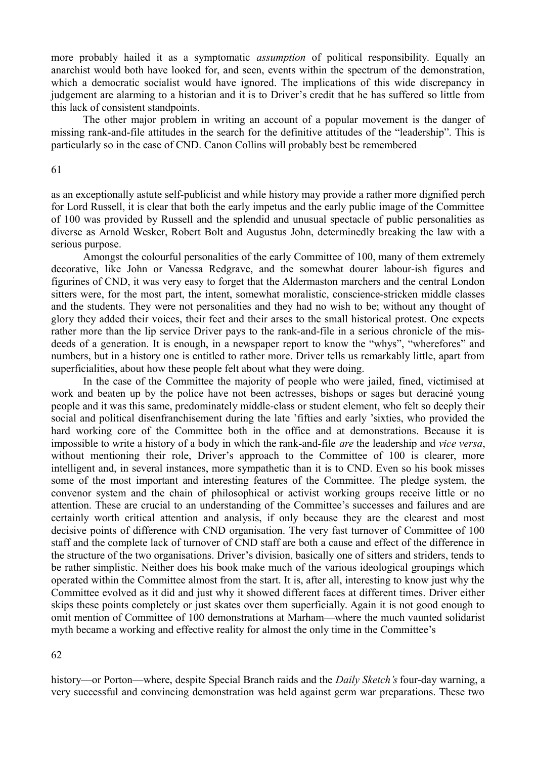more probably hailed it as a symptomatic *assumption* of political responsibility. Equally an anarchist would both have looked for, and seen, events within the spectrum of the demonstration, which a democratic socialist would have ignored. The implications of this wide discrepancy in judgement are alarming to a historian and it is to Driver's credit that he has suffered so little from this lack of consistent standpoints.

The other major problem in writing an account of a popular movement is the danger of missing rank-and-file attitudes in the search for the definitive attitudes of the "leadership". This is particularly so in the case of CND. Canon Collins will probably best be remembered

#### 61

as an exceptionally astute self-publicist and while history may provide a rather more dignified perch for Lord Russell, it is clear that both the early impetus and the early public image of the Committee of 100 was provided by Russell and the splendid and unusual spectacle of public personalities as diverse as Arnold Wesker, Robert Bolt and Augustus John, determinedly breaking the law with a serious purpose.

Amongst the colourful personalities of the early Committee of 100, many of them extremely decorative, like John or Vanessa Redgrave, and the somewhat dourer labour-ish figures and figurines of CND, it was very easy to forget that the Aldermaston marchers and the central London sitters were, for the most part, the intent, somewhat moralistic, conscience-stricken middle classes and the students. They were not personalities and they had no wish to be; without any thought of glory they added their voices, their feet and their arses to the small historical protest. One expects rather more than the lip service Driver pays to the rank-and-file in a serious chronicle of the misdeeds of a generation. It is enough, in a newspaper report to know the "whys", "wherefores" and numbers, but in a history one is entitled to rather more. Driver tells us remarkably little, apart from superficialities, about how these people felt about what they were doing.

In the case of the Committee the majority of people who were jailed, fined, victimised at work and beaten up by the police have not been actresses, bishops or sages but deraciné young people and it was this same, predominately middle-class or student element, who felt so deeply their social and political disenfranchisement during the late 'fifties and early 'sixties, who provided the hard working core of the Committee both in the office and at demonstrations. Because it is impossible to write a history of a body in which the rank-and-file *are* the leadership and *vice versa*, without mentioning their role, Driver's approach to the Committee of 100 is clearer, more intelligent and, in several instances, more sympathetic than it is to CND. Even so his book misses some of the most important and interesting features of the Committee. The pledge system, the convenor system and the chain of philosophical or activist working groups receive little or no attention. These are crucial to an understanding of the Committee's successes and failures and are certainly worth critical attention and analysis, if only because they are the clearest and most decisive points of difference with CND organisation. The very fast turnover of Committee of 100 staff and the complete lack of turnover of CND staff are both a cause and effect of the difference in the structure of the two organisations. Driver's division, basically one of sitters and striders, tends to be rather simplistic. Neither does his book make much of the various ideological groupings which operated within the Committee almost from the start. It is, after all, interesting to know just why the Committee evolved as it did and just why it showed different faces at different times. Driver either skips these points completely or just skates over them superficially. Again it is not good enough to omit mention of Committee of 100 demonstrations at Marham—where the much vaunted solidarist myth became a working and effective reality for almost the only time in the Committee's

#### 62

history—or Porton—where, despite Special Branch raids and the *Daily Sketch's* four-day warning, a very successful and convincing demonstration was held against germ war preparations. These two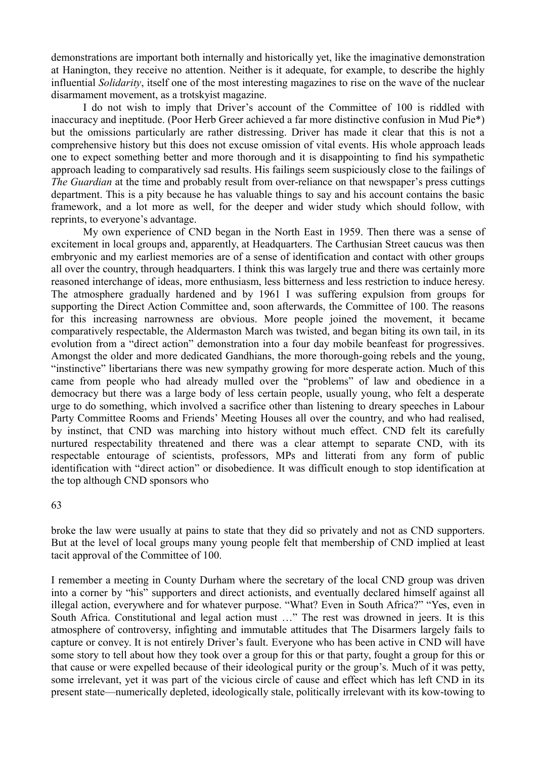demonstrations are important both internally and historically yet, like the imaginative demonstration at Hanington, they receive no attention. Neither is it adequate, for example, to describe the highly influential *Solidarity*, itself one of the most interesting magazines to rise on the wave of the nuclear disarmament movement, as a trotskyist magazine.

I do not wish to imply that Driver's account of the Committee of 100 is riddled with inaccuracy and ineptitude. (Poor Herb Greer achieved a far more distinctive confusion in Mud Pie\*) but the omissions particularly are rather distressing. Driver has made it clear that this is not a comprehensive history but this does not excuse omission of vital events. His whole approach leads one to expect something better and more thorough and it is disappointing to find his sympathetic approach leading to comparatively sad results. His failings seem suspiciously close to the failings of *The Guardian* at the time and probably result from over-reliance on that newspaper's press cuttings department. This is a pity because he has valuable things to say and his account contains the basic framework, and a lot more as well, for the deeper and wider study which should follow, with reprints, to everyone's advantage.

My own experience of CND began in the North East in 1959. Then there was a sense of excitement in local groups and, apparently, at Headquarters. The Carthusian Street caucus was then embryonic and my earliest memories are of a sense of identification and contact with other groups all over the country, through headquarters. I think this was largely true and there was certainly more reasoned interchange of ideas, more enthusiasm, less bitterness and less restriction to induce heresy. The atmosphere gradually hardened and by 1961 I was suffering expulsion from groups for supporting the Direct Action Committee and, soon afterwards, the Committee of 100. The reasons for this increasing narrowness are obvious. More people joined the movement, it became comparatively respectable, the Aldermaston March was twisted, and began biting its own tail, in its evolution from a "direct action" demonstration into a four day mobile beanfeast for progressives. Amongst the older and more dedicated Gandhians, the more thorough-going rebels and the young, "instinctive" libertarians there was new sympathy growing for more desperate action. Much of this came from people who had already mulled over the "problems" of law and obedience in a democracy but there was a large body of less certain people, usually young, who felt a desperate urge to do something, which involved a sacrifice other than listening to dreary speeches in Labour Party Committee Rooms and Friends' Meeting Houses all over the country, and who had realised, by instinct, that CND was marching into history without much effect. CND felt its carefully nurtured respectability threatened and there was a clear attempt to separate CND, with its respectable entourage of scientists, professors, MPs and litterati from any form of public identification with "direct action" or disobedience. It was difficult enough to stop identification at the top although CND sponsors who

#### 63

broke the law were usually at pains to state that they did so privately and not as CND supporters. But at the level of local groups many young people felt that membership of CND implied at least tacit approval of the Committee of 100.

I remember a meeting in County Durham where the secretary of the local CND group was driven into a corner by "his" supporters and direct actionists, and eventually declared himself against all illegal action, everywhere and for whatever purpose. "What? Even in South Africa?" "Yes, even in South Africa. Constitutional and legal action must …" The rest was drowned in jeers. It is this atmosphere of controversy, infighting and immutable attitudes that The Disarmers largely fails to capture or convey. It is not entirely Driver's fault. Everyone who has been active in CND will have some story to tell about how they took over a group for this or that party, fought a group for this or that cause or were expelled because of their ideological purity or the group's. Much of it was petty, some irrelevant, yet it was part of the vicious circle of cause and effect which has left CND in its present state—numerically depleted, ideologically stale, politically irrelevant with its kow-towing to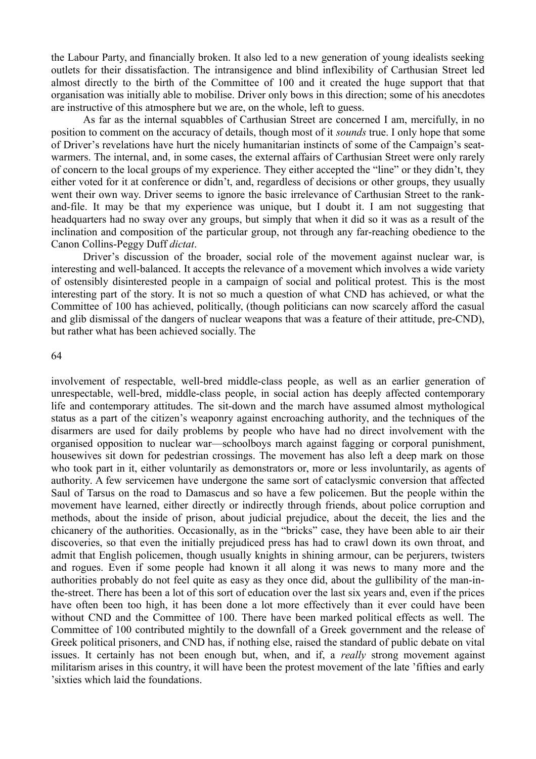the Labour Party, and financially broken. It also led to a new generation of young idealists seeking outlets for their dissatisfaction. The intransigence and blind inflexibility of Carthusian Street led almost directly to the birth of the Committee of 100 and it created the huge support that that organisation was initially able to mobilise. Driver only bows in this direction; some of his anecdotes are instructive of this atmosphere but we are, on the whole, left to guess.

As far as the internal squabbles of Carthusian Street are concerned I am, mercifully, in no position to comment on the accuracy of details, though most of it *sounds* true. I only hope that some of Driver's revelations have hurt the nicely humanitarian instincts of some of the Campaign's seatwarmers. The internal, and, in some cases, the external affairs of Carthusian Street were only rarely of concern to the local groups of my experience. They either accepted the "line" or they didn't, they either voted for it at conference or didn't, and, regardless of decisions or other groups, they usually went their own way. Driver seems to ignore the basic irrelevance of Carthusian Street to the rankand-file. It may be that my experience was unique, but I doubt it. I am not suggesting that headquarters had no sway over any groups, but simply that when it did so it was as a result of the inclination and composition of the particular group, not through any far-reaching obedience to the Canon Collins-Peggy Duff *dictat*.

Driver's discussion of the broader, social role of the movement against nuclear war, is interesting and well-balanced. It accepts the relevance of a movement which involves a wide variety of ostensibly disinterested people in a campaign of social and political protest. This is the most interesting part of the story. It is not so much a question of what CND has achieved, or what the Committee of 100 has achieved, politically, (though politicians can now scarcely afford the casual and glib dismissal of the dangers of nuclear weapons that was a feature of their attitude, pre-CND), but rather what has been achieved socially. The

#### 64

involvement of respectable, well-bred middle-class people, as well as an earlier generation of unrespectable, well-bred, middle-class people, in social action has deeply affected contemporary life and contemporary attitudes. The sit-down and the march have assumed almost mythological status as a part of the citizen's weaponry against encroaching authority, and the techniques of the disarmers are used for daily problems by people who have had no direct involvement with the organised opposition to nuclear war—schoolboys march against fagging or corporal punishment, housewives sit down for pedestrian crossings. The movement has also left a deep mark on those who took part in it, either voluntarily as demonstrators or, more or less involuntarily, as agents of authority. A few servicemen have undergone the same sort of cataclysmic conversion that affected Saul of Tarsus on the road to Damascus and so have a few policemen. But the people within the movement have learned, either directly or indirectly through friends, about police corruption and methods, about the inside of prison, about judicial prejudice, about the deceit, the lies and the chicanery of the authorities. Occasionally, as in the "bricks" case, they have been able to air their discoveries, so that even the initially prejudiced press has had to crawl down its own throat, and admit that English policemen, though usually knights in shining armour, can be perjurers, twisters and rogues. Even if some people had known it all along it was news to many more and the authorities probably do not feel quite as easy as they once did, about the gullibility of the man-inthe-street. There has been a lot of this sort of education over the last six years and, even if the prices have often been too high, it has been done a lot more effectively than it ever could have been without CND and the Committee of 100. There have been marked political effects as well. The Committee of 100 contributed mightily to the downfall of a Greek government and the release of Greek political prisoners, and CND has, if nothing else, raised the standard of public debate on vital issues. It certainly has not been enough but, when, and if, a *really* strong movement against militarism arises in this country, it will have been the protest movement of the late 'fifties and early 'sixties which laid the foundations.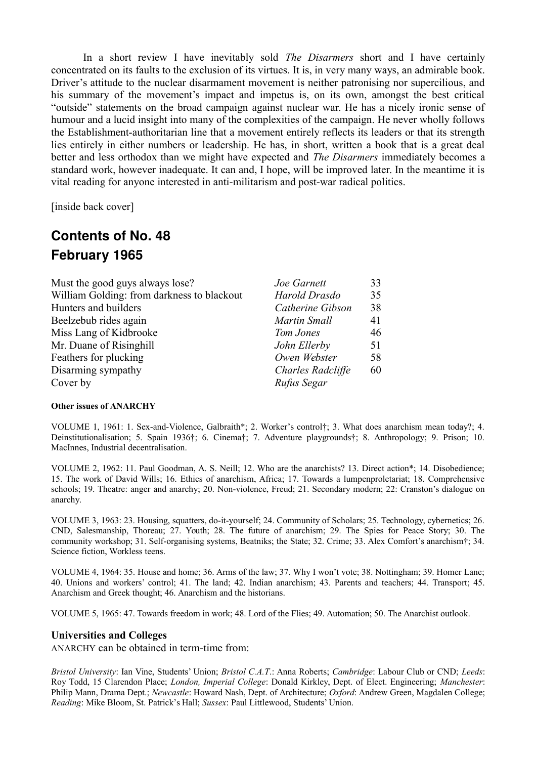In a short review I have inevitably sold *The Disarmers* short and I have certainly concentrated on its faults to the exclusion of its virtues. It is, in very many ways, an admirable book. Driver's attitude to the nuclear disarmament movement is neither patronising nor supercilious, and his summary of the movement's impact and impetus is, on its own, amongst the best critical "outside" statements on the broad campaign against nuclear war. He has a nicely ironic sense of humour and a lucid insight into many of the complexities of the campaign. He never wholly follows the Establishment-authoritarian line that a movement entirely reflects its leaders or that its strength lies entirely in either numbers or leadership. He has, in short, written a book that is a great deal better and less orthodox than we might have expected and *The Disarmers* immediately becomes a standard work, however inadequate. It can and, I hope, will be improved later. In the meantime it is vital reading for anyone interested in anti-militarism and post-war radical politics.

[inside back cover]

### **Contents of No. 48 February 1965**

| Must the good guys always lose?            | Joe Garnett       | 33 |
|--------------------------------------------|-------------------|----|
| William Golding: from darkness to blackout | Harold Drasdo     | 35 |
| Hunters and builders                       | Catherine Gibson  | 38 |
| Beelzebub rides again                      | Martin Small      | 41 |
| Miss Lang of Kidbrooke                     | Tom Jones         | 46 |
| Mr. Duane of Risinghill                    | John Ellerby      | 51 |
| Feathers for plucking                      | Owen Webster      | 58 |
| Disarming sympathy                         | Charles Radcliffe | 60 |
| Cover by                                   | Rufus Segar       |    |

#### **Other issues of ANARCHY**

VOLUME 1, 1961: 1. Sex-and-Violence, Galbraith\*; 2. Worker's control†; 3. What does anarchism mean today?; 4. Deinstitutionalisation; 5. Spain 1936†; 6. Cinema†; 7. Adventure playgrounds†; 8. Anthropology; 9. Prison; 10. MacInnes, Industrial decentralisation.

VOLUME 2, 1962: 11. Paul Goodman, A. S. Neill; 12. Who are the anarchists? 13. Direct action\*; 14. Disobedience; 15. The work of David Wills; 16. Ethics of anarchism, Africa; 17. Towards a lumpenproletariat; 18. Comprehensive schools; 19. Theatre: anger and anarchy; 20. Non-violence, Freud; 21. Secondary modern; 22: Cranston's dialogue on anarchy.

VOLUME 3, 1963: 23. Housing, squatters, do-it-yourself; 24. Community of Scholars; 25. Technology, cybernetics; 26. CND, Salesmanship, Thoreau; 27. Youth; 28. The future of anarchism; 29. The Spies for Peace Story; 30. The community workshop; 31. Self-organising systems, Beatniks; the State; 32. Crime; 33. Alex Comfort's anarchism†; 34. Science fiction, Workless teens.

VOLUME 4, 1964: 35. House and home; 36. Arms of the law; 37. Why I won't vote; 38. Nottingham; 39. Homer Lane; 40. Unions and workers' control; 41. The land; 42. Indian anarchism; 43. Parents and teachers; 44. Transport; 45. Anarchism and Greek thought; 46. Anarchism and the historians.

VOLUME 5, 1965: 47. Towards freedom in work; 48. Lord of the Flies; 49. Automation; 50. The Anarchist outlook.

#### **Universities and Colleges**

ANARCHY can be obtained in term-time from:

*Bristol University*: Ian Vine, Students' Union; *Bristol C.A.T*.: Anna Roberts; *Cambridge*: Labour Club or CND; *Leeds*: Roy Todd, 15 Clarendon Place; *London, Imperial College*: Donald Kirkley, Dept. of Elect. Engineering; *Manchester*: Philip Mann, Drama Dept.; *Newcastle*: Howard Nash, Dept. of Architecture; *Oxford*: Andrew Green, Magdalen College; *Reading*: Mike Bloom, St. Patrick's Hall; *Sussex*: Paul Littlewood, Students' Union.